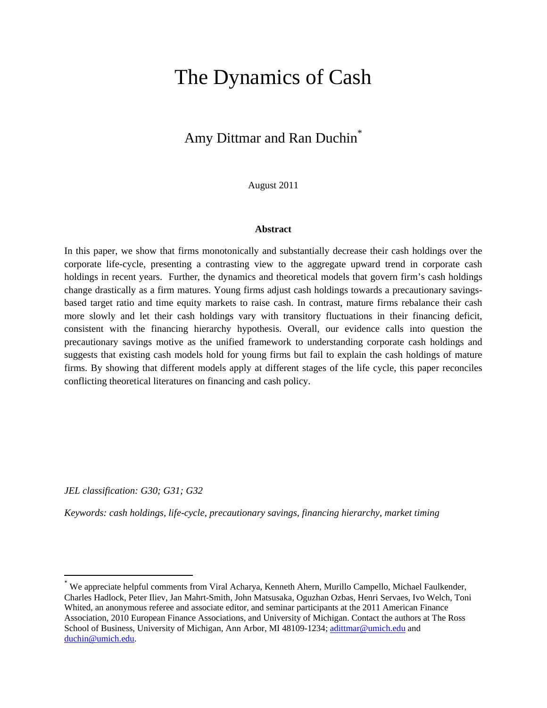# The Dynamics of Cash

# Amy Dittmar and Ran Duchin<sup>\*</sup>

August 2011

#### **Abstract**

In this paper, we show that firms monotonically and substantially decrease their cash holdings over the corporate life-cycle, presenting a contrasting view to the aggregate upward trend in corporate cash holdings in recent years. Further, the dynamics and theoretical models that govern firm's cash holdings change drastically as a firm matures. Young firms adjust cash holdings towards a precautionary savingsbased target ratio and time equity markets to raise cash. In contrast, mature firms rebalance their cash more slowly and let their cash holdings vary with transitory fluctuations in their financing deficit, consistent with the financing hierarchy hypothesis. Overall, our evidence calls into question the precautionary savings motive as the unified framework to understanding corporate cash holdings and suggests that existing cash models hold for young firms but fail to explain the cash holdings of mature firms. By showing that different models apply at different stages of the life cycle, this paper reconciles conflicting theoretical literatures on financing and cash policy.

*JEL classification: G30; G31; G32* 

1

*Keywords: cash holdings, life-cycle, precautionary savings, financing hierarchy, market timing*

<sup>\*</sup> We appreciate helpful comments from Viral Acharya, Kenneth Ahern, Murillo Campello, Michael Faulkender, Charles Hadlock, Peter Iliev, Jan Mahrt-Smith, John Matsusaka, Oguzhan Ozbas, Henri Servaes, Ivo Welch, Toni Whited, an anonymous referee and associate editor, and seminar participants at the 2011 American Finance Association, 2010 European Finance Associations, and University of Michigan. Contact the authors at The Ross School of Business, University of Michigan, Ann Arbor, MI 48109-1234; adittmar@umich.edu and duchin@umich.edu.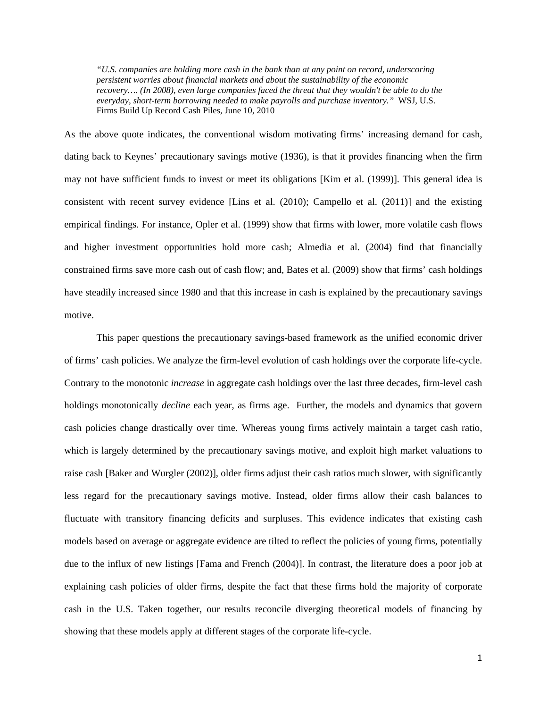*"U.S. companies are holding more cash in the bank than at any point on record, underscoring persistent worries about financial markets and about the sustainability of the economic recovery…. (In 2008), even large companies faced the threat that they wouldn't be able to do the everyday, short-term borrowing needed to make payrolls and purchase inventory."* WSJ, U.S. Firms Build Up Record Cash Piles, June 10, 2010

As the above quote indicates, the conventional wisdom motivating firms' increasing demand for cash, dating back to Keynes' precautionary savings motive (1936), is that it provides financing when the firm may not have sufficient funds to invest or meet its obligations [Kim et al. (1999)]. This general idea is consistent with recent survey evidence [Lins et al. (2010); Campello et al. (2011)] and the existing empirical findings. For instance, Opler et al. (1999) show that firms with lower, more volatile cash flows and higher investment opportunities hold more cash; Almedia et al. (2004) find that financially constrained firms save more cash out of cash flow; and, Bates et al. (2009) show that firms' cash holdings have steadily increased since 1980 and that this increase in cash is explained by the precautionary savings motive.

 This paper questions the precautionary savings-based framework as the unified economic driver of firms' cash policies. We analyze the firm-level evolution of cash holdings over the corporate life-cycle. Contrary to the monotonic *increase* in aggregate cash holdings over the last three decades, firm-level cash holdings monotonically *decline* each year, as firms age. Further, the models and dynamics that govern cash policies change drastically over time. Whereas young firms actively maintain a target cash ratio, which is largely determined by the precautionary savings motive, and exploit high market valuations to raise cash [Baker and Wurgler (2002)], older firms adjust their cash ratios much slower, with significantly less regard for the precautionary savings motive. Instead, older firms allow their cash balances to fluctuate with transitory financing deficits and surpluses. This evidence indicates that existing cash models based on average or aggregate evidence are tilted to reflect the policies of young firms, potentially due to the influx of new listings [Fama and French (2004)]. In contrast, the literature does a poor job at explaining cash policies of older firms, despite the fact that these firms hold the majority of corporate cash in the U.S. Taken together, our results reconcile diverging theoretical models of financing by showing that these models apply at different stages of the corporate life-cycle.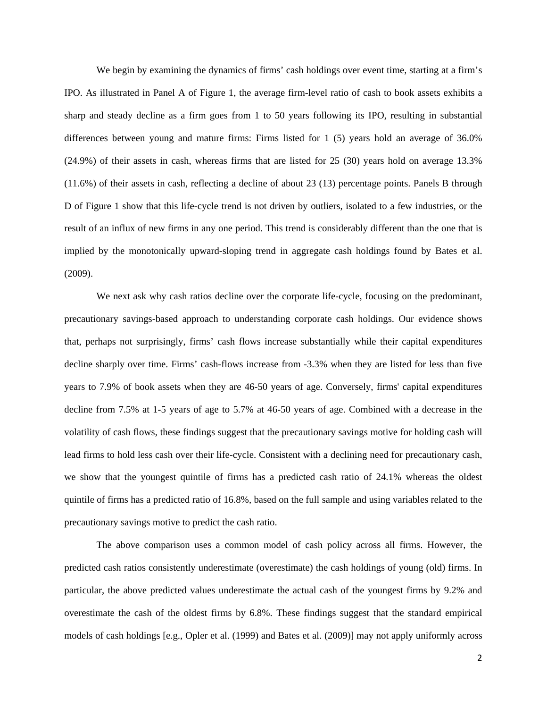We begin by examining the dynamics of firms' cash holdings over event time, starting at a firm's IPO. As illustrated in Panel A of Figure 1, the average firm-level ratio of cash to book assets exhibits a sharp and steady decline as a firm goes from 1 to 50 years following its IPO, resulting in substantial differences between young and mature firms: Firms listed for 1 (5) years hold an average of 36.0% (24.9%) of their assets in cash, whereas firms that are listed for 25 (30) years hold on average 13.3% (11.6%) of their assets in cash, reflecting a decline of about 23 (13) percentage points. Panels B through D of Figure 1 show that this life-cycle trend is not driven by outliers, isolated to a few industries, or the result of an influx of new firms in any one period. This trend is considerably different than the one that is implied by the monotonically upward-sloping trend in aggregate cash holdings found by Bates et al. (2009).

We next ask why cash ratios decline over the corporate life-cycle, focusing on the predominant, precautionary savings-based approach to understanding corporate cash holdings. Our evidence shows that, perhaps not surprisingly, firms' cash flows increase substantially while their capital expenditures decline sharply over time. Firms' cash-flows increase from -3.3% when they are listed for less than five years to 7.9% of book assets when they are 46-50 years of age. Conversely, firms' capital expenditures decline from 7.5% at 1-5 years of age to 5.7% at 46-50 years of age. Combined with a decrease in the volatility of cash flows, these findings suggest that the precautionary savings motive for holding cash will lead firms to hold less cash over their life-cycle. Consistent with a declining need for precautionary cash, we show that the youngest quintile of firms has a predicted cash ratio of 24.1% whereas the oldest quintile of firms has a predicted ratio of 16.8%, based on the full sample and using variables related to the precautionary savings motive to predict the cash ratio.

 The above comparison uses a common model of cash policy across all firms. However, the predicted cash ratios consistently underestimate (overestimate) the cash holdings of young (old) firms. In particular, the above predicted values underestimate the actual cash of the youngest firms by 9.2% and overestimate the cash of the oldest firms by 6.8%. These findings suggest that the standard empirical models of cash holdings [e.g., Opler et al. (1999) and Bates et al. (2009)] may not apply uniformly across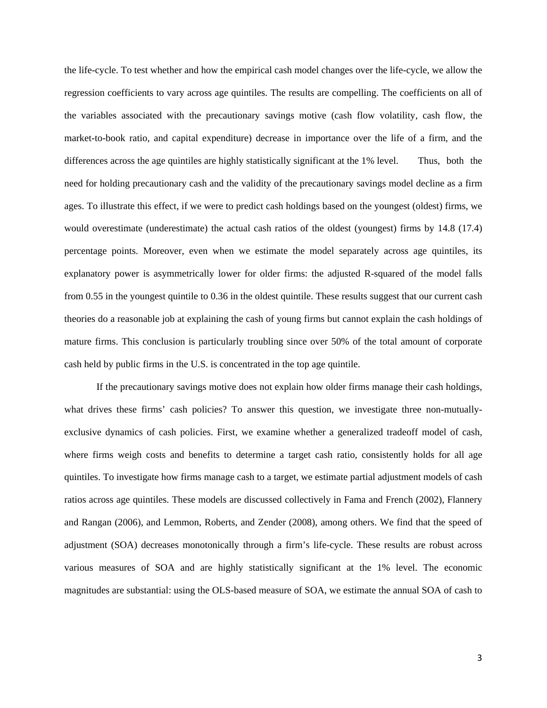the life-cycle. To test whether and how the empirical cash model changes over the life-cycle, we allow the regression coefficients to vary across age quintiles. The results are compelling. The coefficients on all of the variables associated with the precautionary savings motive (cash flow volatility, cash flow, the market-to-book ratio, and capital expenditure) decrease in importance over the life of a firm, and the differences across the age quintiles are highly statistically significant at the 1% level. Thus, both the need for holding precautionary cash and the validity of the precautionary savings model decline as a firm ages. To illustrate this effect, if we were to predict cash holdings based on the youngest (oldest) firms, we would overestimate (underestimate) the actual cash ratios of the oldest (youngest) firms by 14.8 (17.4) percentage points. Moreover, even when we estimate the model separately across age quintiles, its explanatory power is asymmetrically lower for older firms: the adjusted R-squared of the model falls from 0.55 in the youngest quintile to 0.36 in the oldest quintile. These results suggest that our current cash theories do a reasonable job at explaining the cash of young firms but cannot explain the cash holdings of mature firms. This conclusion is particularly troubling since over 50% of the total amount of corporate cash held by public firms in the U.S. is concentrated in the top age quintile.

 If the precautionary savings motive does not explain how older firms manage their cash holdings, what drives these firms' cash policies? To answer this question, we investigate three non-mutuallyexclusive dynamics of cash policies. First, we examine whether a generalized tradeoff model of cash, where firms weigh costs and benefits to determine a target cash ratio, consistently holds for all age quintiles. To investigate how firms manage cash to a target, we estimate partial adjustment models of cash ratios across age quintiles. These models are discussed collectively in Fama and French (2002), Flannery and Rangan (2006), and Lemmon, Roberts, and Zender (2008), among others. We find that the speed of adjustment (SOA) decreases monotonically through a firm's life-cycle. These results are robust across various measures of SOA and are highly statistically significant at the 1% level. The economic magnitudes are substantial: using the OLS-based measure of SOA, we estimate the annual SOA of cash to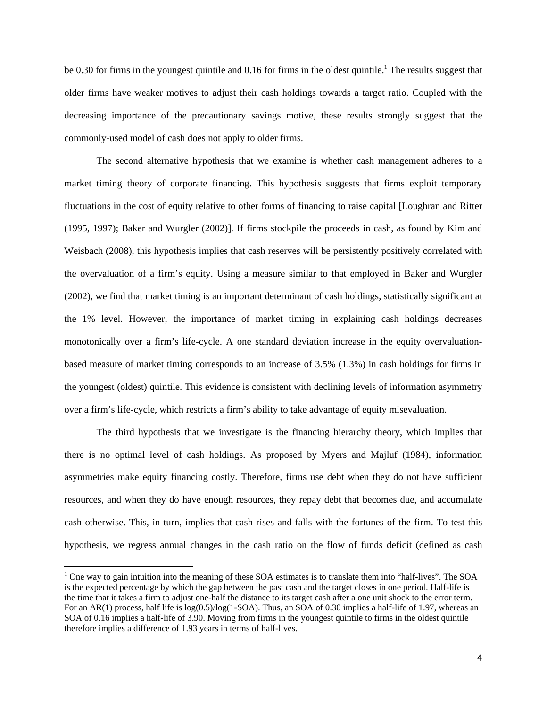be 0.30 for firms in the youngest quintile and 0.16 for firms in the oldest quintile.<sup>1</sup> The results suggest that older firms have weaker motives to adjust their cash holdings towards a target ratio. Coupled with the decreasing importance of the precautionary savings motive, these results strongly suggest that the commonly-used model of cash does not apply to older firms.

 The second alternative hypothesis that we examine is whether cash management adheres to a market timing theory of corporate financing. This hypothesis suggests that firms exploit temporary fluctuations in the cost of equity relative to other forms of financing to raise capital [Loughran and Ritter (1995, 1997); Baker and Wurgler (2002)]. If firms stockpile the proceeds in cash, as found by Kim and Weisbach (2008), this hypothesis implies that cash reserves will be persistently positively correlated with the overvaluation of a firm's equity. Using a measure similar to that employed in Baker and Wurgler (2002), we find that market timing is an important determinant of cash holdings, statistically significant at the 1% level. However, the importance of market timing in explaining cash holdings decreases monotonically over a firm's life-cycle. A one standard deviation increase in the equity overvaluationbased measure of market timing corresponds to an increase of 3.5% (1.3%) in cash holdings for firms in the youngest (oldest) quintile. This evidence is consistent with declining levels of information asymmetry over a firm's life-cycle, which restricts a firm's ability to take advantage of equity misevaluation.

 The third hypothesis that we investigate is the financing hierarchy theory, which implies that there is no optimal level of cash holdings. As proposed by Myers and Majluf (1984), information asymmetries make equity financing costly. Therefore, firms use debt when they do not have sufficient resources, and when they do have enough resources, they repay debt that becomes due, and accumulate cash otherwise. This, in turn, implies that cash rises and falls with the fortunes of the firm. To test this hypothesis, we regress annual changes in the cash ratio on the flow of funds deficit (defined as cash

 $\overline{\phantom{a}}$ 

 $<sup>1</sup>$  One way to gain intuition into the meaning of these SOA estimates is to translate them into "half-lives". The SOA</sup> is the expected percentage by which the gap between the past cash and the target closes in one period. Half-life is the time that it takes a firm to adjust one-half the distance to its target cash after a one unit shock to the error term. For an AR(1) process, half life is  $log(0.5)/log(1-SOA)$ . Thus, an SOA of 0.30 implies a half-life of 1.97, whereas an SOA of 0.16 implies a half-life of 3.90. Moving from firms in the youngest quintile to firms in the oldest quintile therefore implies a difference of 1.93 years in terms of half-lives.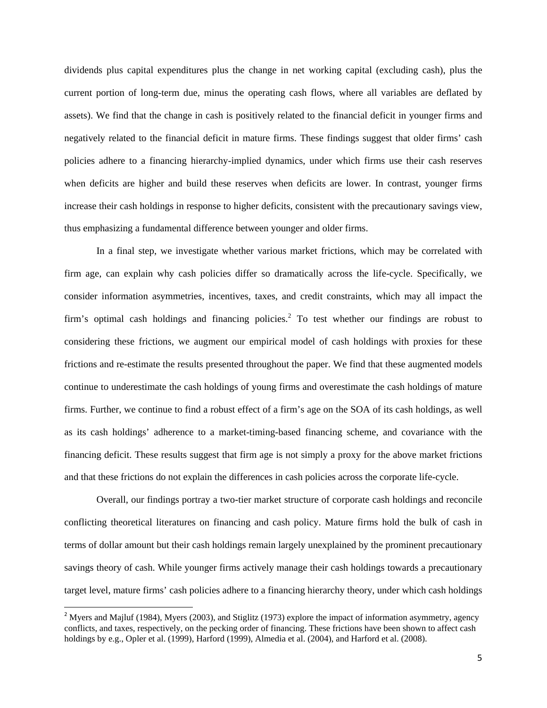dividends plus capital expenditures plus the change in net working capital (excluding cash), plus the current portion of long-term due, minus the operating cash flows, where all variables are deflated by assets). We find that the change in cash is positively related to the financial deficit in younger firms and negatively related to the financial deficit in mature firms. These findings suggest that older firms' cash policies adhere to a financing hierarchy-implied dynamics, under which firms use their cash reserves when deficits are higher and build these reserves when deficits are lower. In contrast, younger firms increase their cash holdings in response to higher deficits, consistent with the precautionary savings view, thus emphasizing a fundamental difference between younger and older firms.

 In a final step, we investigate whether various market frictions, which may be correlated with firm age, can explain why cash policies differ so dramatically across the life-cycle. Specifically, we consider information asymmetries, incentives, taxes, and credit constraints, which may all impact the firm's optimal cash holdings and financing policies.<sup>2</sup> To test whether our findings are robust to considering these frictions, we augment our empirical model of cash holdings with proxies for these frictions and re-estimate the results presented throughout the paper. We find that these augmented models continue to underestimate the cash holdings of young firms and overestimate the cash holdings of mature firms. Further, we continue to find a robust effect of a firm's age on the SOA of its cash holdings, as well as its cash holdings' adherence to a market-timing-based financing scheme, and covariance with the financing deficit. These results suggest that firm age is not simply a proxy for the above market frictions and that these frictions do not explain the differences in cash policies across the corporate life-cycle.

 Overall, our findings portray a two-tier market structure of corporate cash holdings and reconcile conflicting theoretical literatures on financing and cash policy. Mature firms hold the bulk of cash in terms of dollar amount but their cash holdings remain largely unexplained by the prominent precautionary savings theory of cash. While younger firms actively manage their cash holdings towards a precautionary target level, mature firms' cash policies adhere to a financing hierarchy theory, under which cash holdings

 $\overline{\phantom{a}}$ 

<sup>&</sup>lt;sup>2</sup> Myers and Majluf (1984), Myers (2003), and Stiglitz (1973) explore the impact of information asymmetry, agency conflicts, and taxes, respectively, on the pecking order of financing. These frictions have been shown to affect cash holdings by e.g., Opler et al. (1999), Harford (1999), Almedia et al. (2004), and Harford et al. (2008).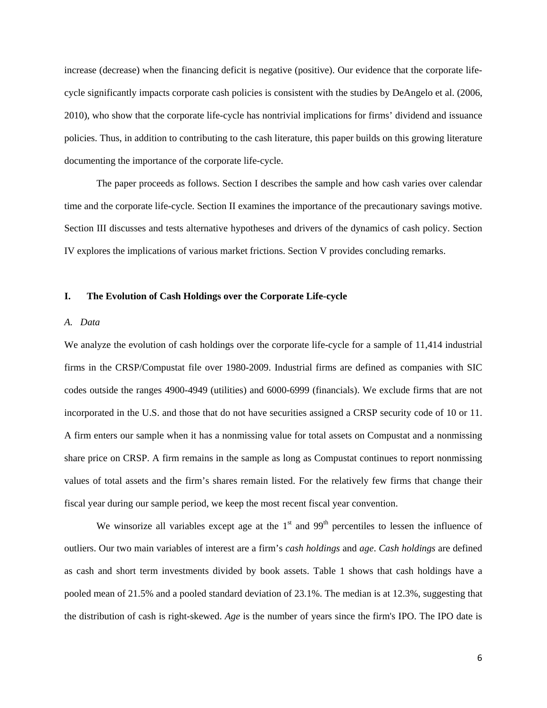increase (decrease) when the financing deficit is negative (positive). Our evidence that the corporate lifecycle significantly impacts corporate cash policies is consistent with the studies by DeAngelo et al. (2006, 2010), who show that the corporate life-cycle has nontrivial implications for firms' dividend and issuance policies. Thus, in addition to contributing to the cash literature, this paper builds on this growing literature documenting the importance of the corporate life-cycle.

 The paper proceeds as follows. Section I describes the sample and how cash varies over calendar time and the corporate life-cycle. Section II examines the importance of the precautionary savings motive. Section III discusses and tests alternative hypotheses and drivers of the dynamics of cash policy. Section IV explores the implications of various market frictions. Section V provides concluding remarks.

### **I. The Evolution of Cash Holdings over the Corporate Life-cycle**

#### *A. Data*

We analyze the evolution of cash holdings over the corporate life-cycle for a sample of 11,414 industrial firms in the CRSP/Compustat file over 1980-2009. Industrial firms are defined as companies with SIC codes outside the ranges 4900-4949 (utilities) and 6000-6999 (financials). We exclude firms that are not incorporated in the U.S. and those that do not have securities assigned a CRSP security code of 10 or 11. A firm enters our sample when it has a nonmissing value for total assets on Compustat and a nonmissing share price on CRSP. A firm remains in the sample as long as Compustat continues to report nonmissing values of total assets and the firm's shares remain listed. For the relatively few firms that change their fiscal year during our sample period, we keep the most recent fiscal year convention.

We winsorize all variables except age at the  $1<sup>st</sup>$  and  $99<sup>th</sup>$  percentiles to lessen the influence of outliers. Our two main variables of interest are a firm's *cash holdings* and *age*. *Cash holdings* are defined as cash and short term investments divided by book assets. Table 1 shows that cash holdings have a pooled mean of 21.5% and a pooled standard deviation of 23.1%. The median is at 12.3%, suggesting that the distribution of cash is right-skewed. *Age* is the number of years since the firm's IPO. The IPO date is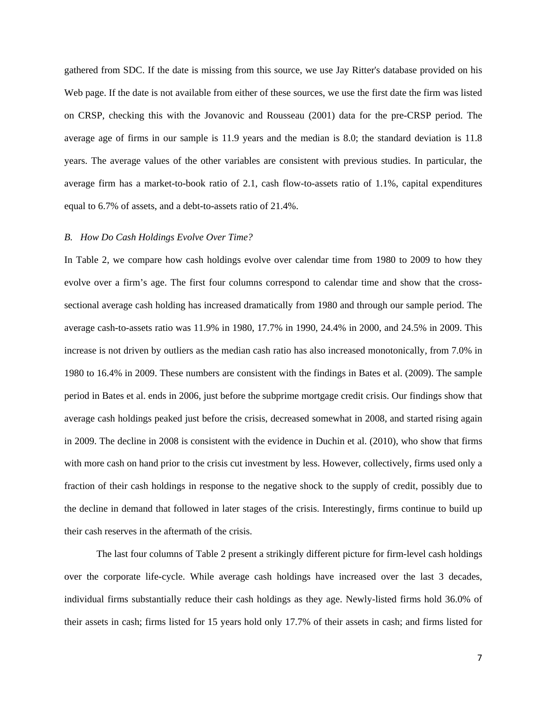gathered from SDC. If the date is missing from this source, we use Jay Ritter's database provided on his Web page. If the date is not available from either of these sources, we use the first date the firm was listed on CRSP, checking this with the Jovanovic and Rousseau (2001) data for the pre-CRSP period. The average age of firms in our sample is 11.9 years and the median is 8.0; the standard deviation is 11.8 years. The average values of the other variables are consistent with previous studies. In particular, the average firm has a market-to-book ratio of 2.1, cash flow-to-assets ratio of 1.1%, capital expenditures equal to 6.7% of assets, and a debt-to-assets ratio of 21.4%.

### *B. How Do Cash Holdings Evolve Over Time?*

In Table 2, we compare how cash holdings evolve over calendar time from 1980 to 2009 to how they evolve over a firm's age. The first four columns correspond to calendar time and show that the crosssectional average cash holding has increased dramatically from 1980 and through our sample period. The average cash-to-assets ratio was 11.9% in 1980, 17.7% in 1990, 24.4% in 2000, and 24.5% in 2009. This increase is not driven by outliers as the median cash ratio has also increased monotonically, from 7.0% in 1980 to 16.4% in 2009. These numbers are consistent with the findings in Bates et al. (2009). The sample period in Bates et al. ends in 2006, just before the subprime mortgage credit crisis. Our findings show that average cash holdings peaked just before the crisis, decreased somewhat in 2008, and started rising again in 2009. The decline in 2008 is consistent with the evidence in Duchin et al. (2010), who show that firms with more cash on hand prior to the crisis cut investment by less. However, collectively, firms used only a fraction of their cash holdings in response to the negative shock to the supply of credit, possibly due to the decline in demand that followed in later stages of the crisis. Interestingly, firms continue to build up their cash reserves in the aftermath of the crisis.

 The last four columns of Table 2 present a strikingly different picture for firm-level cash holdings over the corporate life-cycle. While average cash holdings have increased over the last 3 decades, individual firms substantially reduce their cash holdings as they age. Newly-listed firms hold 36.0% of their assets in cash; firms listed for 15 years hold only 17.7% of their assets in cash; and firms listed for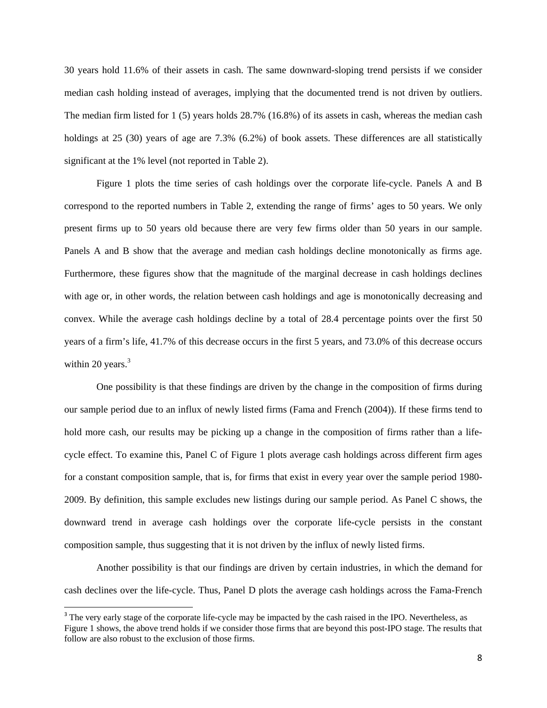30 years hold 11.6% of their assets in cash. The same downward-sloping trend persists if we consider median cash holding instead of averages, implying that the documented trend is not driven by outliers. The median firm listed for 1 (5) years holds 28.7% (16.8%) of its assets in cash, whereas the median cash holdings at 25 (30) years of age are 7.3% (6.2%) of book assets. These differences are all statistically significant at the 1% level (not reported in Table 2).

 Figure 1 plots the time series of cash holdings over the corporate life-cycle. Panels A and B correspond to the reported numbers in Table 2, extending the range of firms' ages to 50 years. We only present firms up to 50 years old because there are very few firms older than 50 years in our sample. Panels A and B show that the average and median cash holdings decline monotonically as firms age. Furthermore, these figures show that the magnitude of the marginal decrease in cash holdings declines with age or, in other words, the relation between cash holdings and age is monotonically decreasing and convex. While the average cash holdings decline by a total of 28.4 percentage points over the first 50 years of a firm's life, 41.7% of this decrease occurs in the first 5 years, and 73.0% of this decrease occurs within 20 years. $3$ 

 One possibility is that these findings are driven by the change in the composition of firms during our sample period due to an influx of newly listed firms (Fama and French (2004)). If these firms tend to hold more cash, our results may be picking up a change in the composition of firms rather than a lifecycle effect. To examine this, Panel C of Figure 1 plots average cash holdings across different firm ages for a constant composition sample, that is, for firms that exist in every year over the sample period 1980- 2009. By definition, this sample excludes new listings during our sample period. As Panel C shows, the downward trend in average cash holdings over the corporate life-cycle persists in the constant composition sample, thus suggesting that it is not driven by the influx of newly listed firms.

 Another possibility is that our findings are driven by certain industries, in which the demand for cash declines over the life-cycle. Thus, Panel D plots the average cash holdings across the Fama-French

 $\overline{\phantom{a}}$ 

<sup>&</sup>lt;sup>3</sup> The very early stage of the corporate life-cycle may be impacted by the cash raised in the IPO. Nevertheless, as Figure 1 shows, the above trend holds if we consider those firms that are beyond this post-IPO stage. The results that follow are also robust to the exclusion of those firms.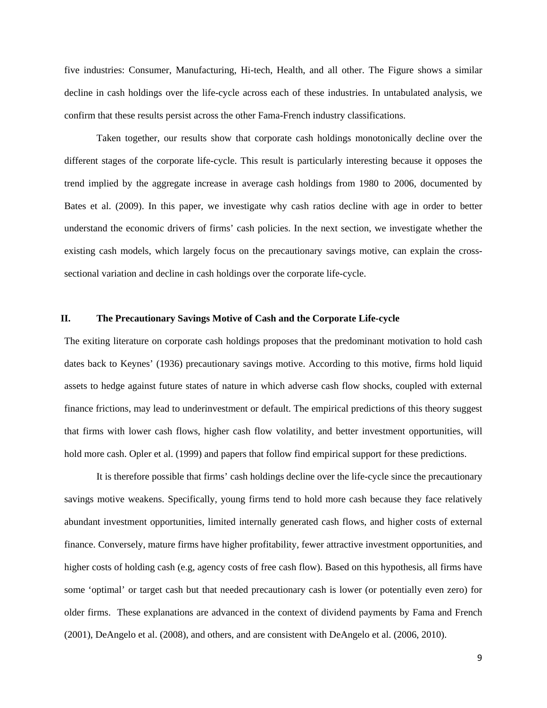five industries: Consumer, Manufacturing, Hi-tech, Health, and all other. The Figure shows a similar decline in cash holdings over the life-cycle across each of these industries. In untabulated analysis, we confirm that these results persist across the other Fama-French industry classifications.

 Taken together, our results show that corporate cash holdings monotonically decline over the different stages of the corporate life-cycle. This result is particularly interesting because it opposes the trend implied by the aggregate increase in average cash holdings from 1980 to 2006, documented by Bates et al. (2009). In this paper, we investigate why cash ratios decline with age in order to better understand the economic drivers of firms' cash policies. In the next section, we investigate whether the existing cash models, which largely focus on the precautionary savings motive, can explain the crosssectional variation and decline in cash holdings over the corporate life-cycle.

### **II. The Precautionary Savings Motive of Cash and the Corporate Life-cycle**

The exiting literature on corporate cash holdings proposes that the predominant motivation to hold cash dates back to Keynes' (1936) precautionary savings motive. According to this motive, firms hold liquid assets to hedge against future states of nature in which adverse cash flow shocks, coupled with external finance frictions, may lead to underinvestment or default. The empirical predictions of this theory suggest that firms with lower cash flows, higher cash flow volatility, and better investment opportunities, will hold more cash. Opler et al. (1999) and papers that follow find empirical support for these predictions.

 It is therefore possible that firms' cash holdings decline over the life-cycle since the precautionary savings motive weakens. Specifically, young firms tend to hold more cash because they face relatively abundant investment opportunities, limited internally generated cash flows, and higher costs of external finance. Conversely, mature firms have higher profitability, fewer attractive investment opportunities, and higher costs of holding cash (e.g, agency costs of free cash flow). Based on this hypothesis, all firms have some 'optimal' or target cash but that needed precautionary cash is lower (or potentially even zero) for older firms. These explanations are advanced in the context of dividend payments by Fama and French (2001), DeAngelo et al. (2008), and others, and are consistent with DeAngelo et al. (2006, 2010).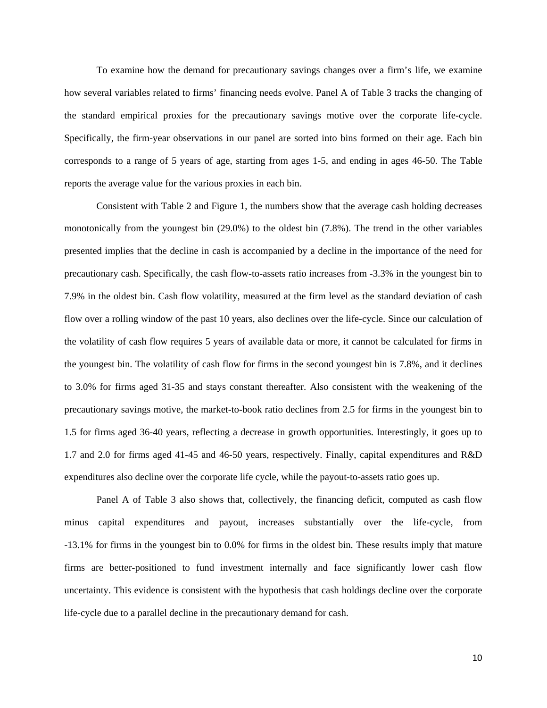To examine how the demand for precautionary savings changes over a firm's life, we examine how several variables related to firms' financing needs evolve. Panel A of Table 3 tracks the changing of the standard empirical proxies for the precautionary savings motive over the corporate life-cycle. Specifically, the firm-year observations in our panel are sorted into bins formed on their age. Each bin corresponds to a range of 5 years of age, starting from ages 1-5, and ending in ages 46-50. The Table reports the average value for the various proxies in each bin.

 Consistent with Table 2 and Figure 1, the numbers show that the average cash holding decreases monotonically from the youngest bin (29.0%) to the oldest bin (7.8%). The trend in the other variables presented implies that the decline in cash is accompanied by a decline in the importance of the need for precautionary cash. Specifically, the cash flow-to-assets ratio increases from -3.3% in the youngest bin to 7.9% in the oldest bin. Cash flow volatility, measured at the firm level as the standard deviation of cash flow over a rolling window of the past 10 years, also declines over the life-cycle. Since our calculation of the volatility of cash flow requires 5 years of available data or more, it cannot be calculated for firms in the youngest bin. The volatility of cash flow for firms in the second youngest bin is 7.8%, and it declines to 3.0% for firms aged 31-35 and stays constant thereafter. Also consistent with the weakening of the precautionary savings motive, the market-to-book ratio declines from 2.5 for firms in the youngest bin to 1.5 for firms aged 36-40 years, reflecting a decrease in growth opportunities. Interestingly, it goes up to 1.7 and 2.0 for firms aged 41-45 and 46-50 years, respectively. Finally, capital expenditures and R&D expenditures also decline over the corporate life cycle, while the payout-to-assets ratio goes up.

 Panel A of Table 3 also shows that, collectively, the financing deficit, computed as cash flow minus capital expenditures and payout, increases substantially over the life-cycle, from -13.1% for firms in the youngest bin to 0.0% for firms in the oldest bin. These results imply that mature firms are better-positioned to fund investment internally and face significantly lower cash flow uncertainty. This evidence is consistent with the hypothesis that cash holdings decline over the corporate life-cycle due to a parallel decline in the precautionary demand for cash.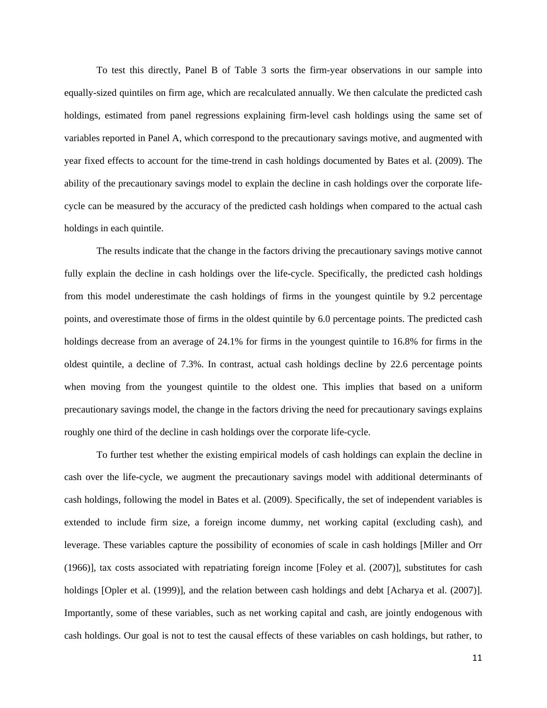To test this directly, Panel B of Table 3 sorts the firm-year observations in our sample into equally-sized quintiles on firm age, which are recalculated annually. We then calculate the predicted cash holdings, estimated from panel regressions explaining firm-level cash holdings using the same set of variables reported in Panel A, which correspond to the precautionary savings motive, and augmented with year fixed effects to account for the time-trend in cash holdings documented by Bates et al. (2009). The ability of the precautionary savings model to explain the decline in cash holdings over the corporate lifecycle can be measured by the accuracy of the predicted cash holdings when compared to the actual cash holdings in each quintile.

 The results indicate that the change in the factors driving the precautionary savings motive cannot fully explain the decline in cash holdings over the life-cycle. Specifically, the predicted cash holdings from this model underestimate the cash holdings of firms in the youngest quintile by 9.2 percentage points, and overestimate those of firms in the oldest quintile by 6.0 percentage points. The predicted cash holdings decrease from an average of 24.1% for firms in the youngest quintile to 16.8% for firms in the oldest quintile, a decline of 7.3%. In contrast, actual cash holdings decline by 22.6 percentage points when moving from the youngest quintile to the oldest one. This implies that based on a uniform precautionary savings model, the change in the factors driving the need for precautionary savings explains roughly one third of the decline in cash holdings over the corporate life-cycle.

 To further test whether the existing empirical models of cash holdings can explain the decline in cash over the life-cycle, we augment the precautionary savings model with additional determinants of cash holdings, following the model in Bates et al. (2009). Specifically, the set of independent variables is extended to include firm size, a foreign income dummy, net working capital (excluding cash), and leverage. These variables capture the possibility of economies of scale in cash holdings [Miller and Orr (1966)], tax costs associated with repatriating foreign income [Foley et al. (2007)], substitutes for cash holdings [Opler et al. (1999)], and the relation between cash holdings and debt [Acharya et al. (2007)]. Importantly, some of these variables, such as net working capital and cash, are jointly endogenous with cash holdings. Our goal is not to test the causal effects of these variables on cash holdings, but rather, to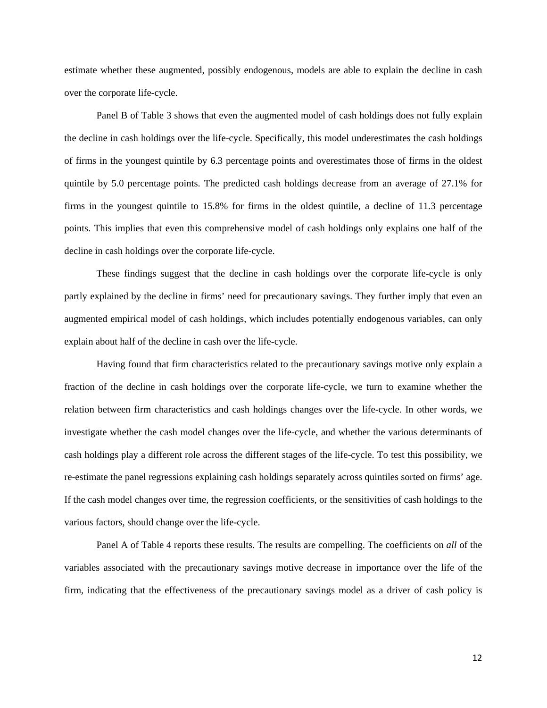estimate whether these augmented, possibly endogenous, models are able to explain the decline in cash over the corporate life-cycle.

 Panel B of Table 3 shows that even the augmented model of cash holdings does not fully explain the decline in cash holdings over the life-cycle. Specifically, this model underestimates the cash holdings of firms in the youngest quintile by 6.3 percentage points and overestimates those of firms in the oldest quintile by 5.0 percentage points. The predicted cash holdings decrease from an average of 27.1% for firms in the youngest quintile to 15.8% for firms in the oldest quintile, a decline of 11.3 percentage points. This implies that even this comprehensive model of cash holdings only explains one half of the decline in cash holdings over the corporate life-cycle.

 These findings suggest that the decline in cash holdings over the corporate life-cycle is only partly explained by the decline in firms' need for precautionary savings. They further imply that even an augmented empirical model of cash holdings, which includes potentially endogenous variables, can only explain about half of the decline in cash over the life-cycle.

 Having found that firm characteristics related to the precautionary savings motive only explain a fraction of the decline in cash holdings over the corporate life-cycle, we turn to examine whether the relation between firm characteristics and cash holdings changes over the life-cycle. In other words, we investigate whether the cash model changes over the life-cycle, and whether the various determinants of cash holdings play a different role across the different stages of the life-cycle. To test this possibility, we re-estimate the panel regressions explaining cash holdings separately across quintiles sorted on firms' age. If the cash model changes over time, the regression coefficients, or the sensitivities of cash holdings to the various factors, should change over the life-cycle.

 Panel A of Table 4 reports these results. The results are compelling. The coefficients on *all* of the variables associated with the precautionary savings motive decrease in importance over the life of the firm, indicating that the effectiveness of the precautionary savings model as a driver of cash policy is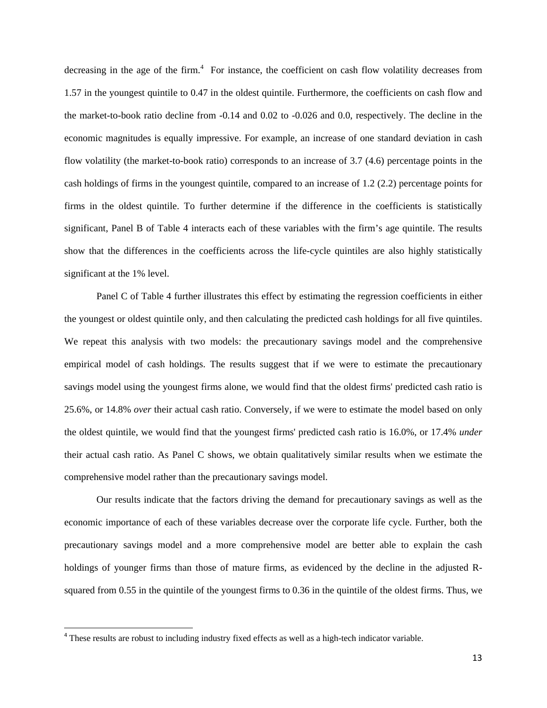decreasing in the age of the firm. $4$  For instance, the coefficient on cash flow volatility decreases from 1.57 in the youngest quintile to 0.47 in the oldest quintile. Furthermore, the coefficients on cash flow and the market-to-book ratio decline from -0.14 and 0.02 to -0.026 and 0.0, respectively. The decline in the economic magnitudes is equally impressive. For example, an increase of one standard deviation in cash flow volatility (the market-to-book ratio) corresponds to an increase of 3.7 (4.6) percentage points in the cash holdings of firms in the youngest quintile, compared to an increase of 1.2 (2.2) percentage points for firms in the oldest quintile. To further determine if the difference in the coefficients is statistically significant, Panel B of Table 4 interacts each of these variables with the firm's age quintile. The results show that the differences in the coefficients across the life-cycle quintiles are also highly statistically significant at the 1% level.

 Panel C of Table 4 further illustrates this effect by estimating the regression coefficients in either the youngest or oldest quintile only, and then calculating the predicted cash holdings for all five quintiles. We repeat this analysis with two models: the precautionary savings model and the comprehensive empirical model of cash holdings. The results suggest that if we were to estimate the precautionary savings model using the youngest firms alone, we would find that the oldest firms' predicted cash ratio is 25.6%, or 14.8% *over* their actual cash ratio. Conversely, if we were to estimate the model based on only the oldest quintile, we would find that the youngest firms' predicted cash ratio is 16.0%, or 17.4% *under* their actual cash ratio. As Panel C shows, we obtain qualitatively similar results when we estimate the comprehensive model rather than the precautionary savings model.

 Our results indicate that the factors driving the demand for precautionary savings as well as the economic importance of each of these variables decrease over the corporate life cycle. Further, both the precautionary savings model and a more comprehensive model are better able to explain the cash holdings of younger firms than those of mature firms, as evidenced by the decline in the adjusted Rsquared from 0.55 in the quintile of the youngest firms to 0.36 in the quintile of the oldest firms. Thus, we

**.** 

<sup>4</sup> These results are robust to including industry fixed effects as well as a high-tech indicator variable.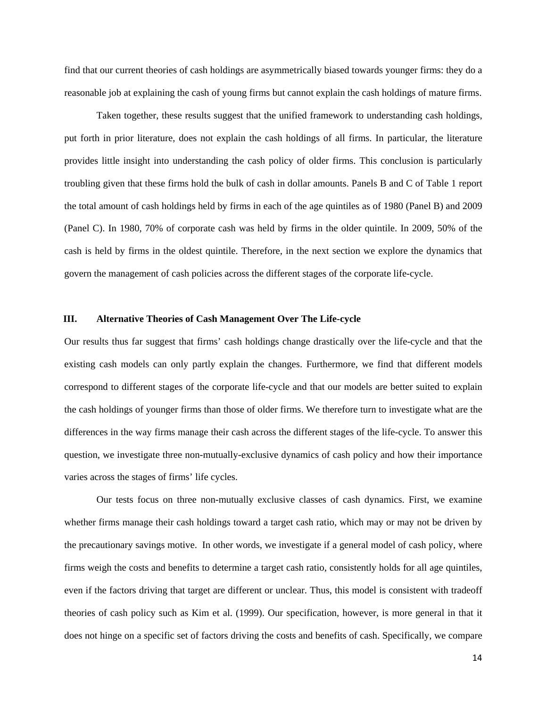find that our current theories of cash holdings are asymmetrically biased towards younger firms: they do a reasonable job at explaining the cash of young firms but cannot explain the cash holdings of mature firms.

 Taken together, these results suggest that the unified framework to understanding cash holdings, put forth in prior literature, does not explain the cash holdings of all firms. In particular, the literature provides little insight into understanding the cash policy of older firms. This conclusion is particularly troubling given that these firms hold the bulk of cash in dollar amounts. Panels B and C of Table 1 report the total amount of cash holdings held by firms in each of the age quintiles as of 1980 (Panel B) and 2009 (Panel C). In 1980, 70% of corporate cash was held by firms in the older quintile. In 2009, 50% of the cash is held by firms in the oldest quintile. Therefore, in the next section we explore the dynamics that govern the management of cash policies across the different stages of the corporate life-cycle.

# **III. Alternative Theories of Cash Management Over The Life-cycle**

Our results thus far suggest that firms' cash holdings change drastically over the life-cycle and that the existing cash models can only partly explain the changes. Furthermore, we find that different models correspond to different stages of the corporate life-cycle and that our models are better suited to explain the cash holdings of younger firms than those of older firms. We therefore turn to investigate what are the differences in the way firms manage their cash across the different stages of the life-cycle. To answer this question, we investigate three non-mutually-exclusive dynamics of cash policy and how their importance varies across the stages of firms' life cycles.

Our tests focus on three non-mutually exclusive classes of cash dynamics. First, we examine whether firms manage their cash holdings toward a target cash ratio, which may or may not be driven by the precautionary savings motive. In other words, we investigate if a general model of cash policy, where firms weigh the costs and benefits to determine a target cash ratio, consistently holds for all age quintiles, even if the factors driving that target are different or unclear. Thus, this model is consistent with tradeoff theories of cash policy such as Kim et al. (1999). Our specification, however, is more general in that it does not hinge on a specific set of factors driving the costs and benefits of cash. Specifically, we compare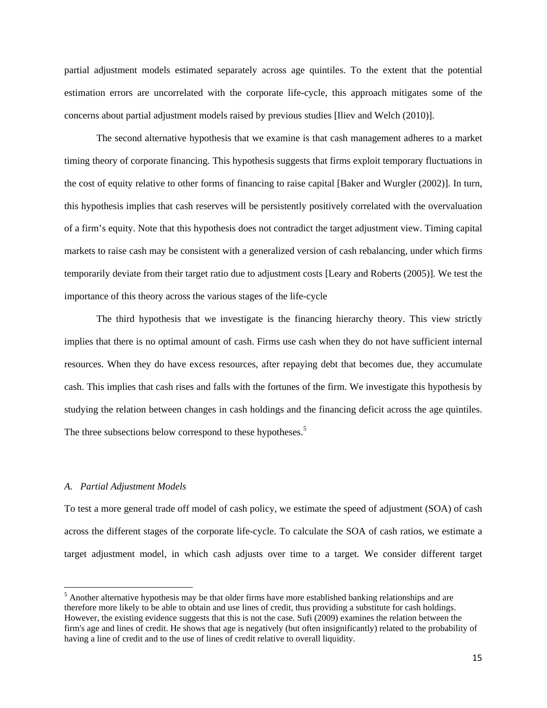partial adjustment models estimated separately across age quintiles. To the extent that the potential estimation errors are uncorrelated with the corporate life-cycle, this approach mitigates some of the concerns about partial adjustment models raised by previous studies [Iliev and Welch (2010)].

 The second alternative hypothesis that we examine is that cash management adheres to a market timing theory of corporate financing. This hypothesis suggests that firms exploit temporary fluctuations in the cost of equity relative to other forms of financing to raise capital [Baker and Wurgler (2002)]. In turn, this hypothesis implies that cash reserves will be persistently positively correlated with the overvaluation of a firm's equity. Note that this hypothesis does not contradict the target adjustment view. Timing capital markets to raise cash may be consistent with a generalized version of cash rebalancing, under which firms temporarily deviate from their target ratio due to adjustment costs [Leary and Roberts (2005)]. We test the importance of this theory across the various stages of the life-cycle

 The third hypothesis that we investigate is the financing hierarchy theory. This view strictly implies that there is no optimal amount of cash. Firms use cash when they do not have sufficient internal resources. When they do have excess resources, after repaying debt that becomes due, they accumulate cash. This implies that cash rises and falls with the fortunes of the firm. We investigate this hypothesis by studying the relation between changes in cash holdings and the financing deficit across the age quintiles. The three subsections below correspond to these hypotheses.<sup>5</sup>

### *A. Partial Adjustment Models*

 $\overline{a}$ 

To test a more general trade off model of cash policy, we estimate the speed of adjustment (SOA) of cash across the different stages of the corporate life-cycle. To calculate the SOA of cash ratios, we estimate a target adjustment model, in which cash adjusts over time to a target. We consider different target

<sup>&</sup>lt;sup>5</sup> Another alternative hypothesis may be that older firms have more established banking relationships and are therefore more likely to be able to obtain and use lines of credit, thus providing a substitute for cash holdings. However, the existing evidence suggests that this is not the case. Sufi (2009) examines the relation between the firm's age and lines of credit. He shows that age is negatively (but often insignificantly) related to the probability of having a line of credit and to the use of lines of credit relative to overall liquidity.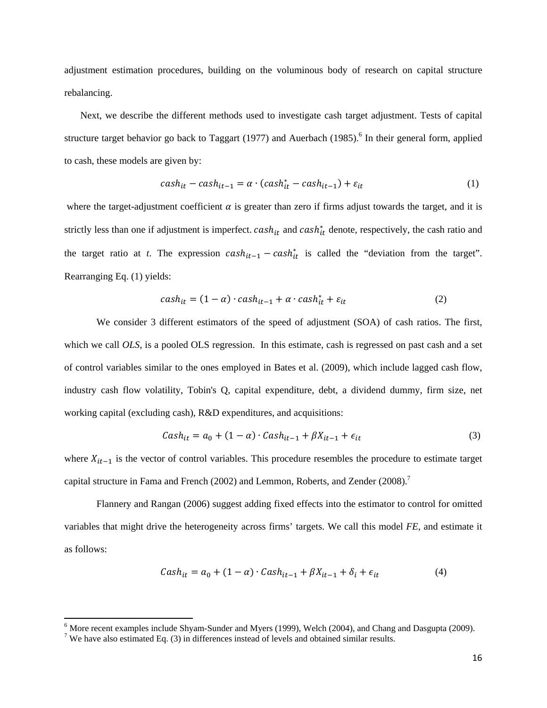adjustment estimation procedures, building on the voluminous body of research on capital structure rebalancing.

Next, we describe the different methods used to investigate cash target adjustment. Tests of capital structure target behavior go back to Taggart (1977) and Auerbach (1985).<sup>6</sup> In their general form, applied to cash, these models are given by:

$$
cash_{it} - cash_{it-1} = \alpha \cdot (cash_{it} - cash_{it-1}) + \varepsilon_{it}
$$
\n<sup>(1)</sup>

where the target-adjustment coefficient  $\alpha$  is greater than zero if firms adjust towards the target, and it is strictly less than one if adjustment is imperfect.  $cash_{it}$  and  $cash_{it}^*$  denote, respectively, the cash ratio and the target ratio at *t*. The expression  $cash_{it-1} - cash_{it}^*$  is called the "deviation from the target". Rearranging Eq. (1) yields:

$$
cash_{it} = (1 - \alpha) \cdot cash_{it-1} + \alpha \cdot cash_{it}^* + \varepsilon_{it}
$$
\n<sup>(2)</sup>

 We consider 3 different estimators of the speed of adjustment (SOA) of cash ratios. The first, which we call *OLS*, is a pooled OLS regression. In this estimate, cash is regressed on past cash and a set of control variables similar to the ones employed in Bates et al. (2009), which include lagged cash flow, industry cash flow volatility, Tobin's Q, capital expenditure, debt, a dividend dummy, firm size, net working capital (excluding cash), R&D expenditures, and acquisitions:

$$
Cash_{it} = a_0 + (1 - \alpha) \cdot Cash_{it-1} + \beta X_{it-1} + \epsilon_{it}
$$
\n
$$
\tag{3}
$$

where  $X_{it-1}$  is the vector of control variables. This procedure resembles the procedure to estimate target capital structure in Fama and French (2002) and Lemmon, Roberts, and Zender (2008).<sup>7</sup>

 Flannery and Rangan (2006) suggest adding fixed effects into the estimator to control for omitted variables that might drive the heterogeneity across firms' targets. We call this model *FE*, and estimate it as follows:

$$
Cash_{it} = a_0 + (1 - \alpha) \cdot Cash_{it-1} + \beta X_{it-1} + \delta_i + \epsilon_{it}
$$
\n
$$
\tag{4}
$$

<sup>&</sup>lt;sup>6</sup> More recent examples include Shyam-Sunder and Myers (1999), Welch (2004), and Chang and Dasgupta (2009).

<sup>&</sup>lt;sup>7</sup> We have also estimated Eq. (3) in differences instead of levels and obtained similar results.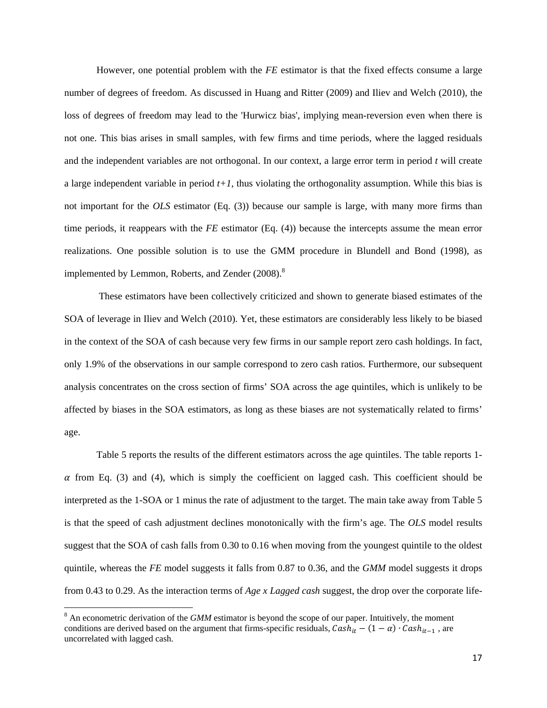However, one potential problem with the *FE* estimator is that the fixed effects consume a large number of degrees of freedom. As discussed in Huang and Ritter (2009) and Iliev and Welch (2010), the loss of degrees of freedom may lead to the 'Hurwicz bias', implying mean-reversion even when there is not one. This bias arises in small samples, with few firms and time periods, where the lagged residuals and the independent variables are not orthogonal. In our context, a large error term in period *t* will create a large independent variable in period  $t+1$ , thus violating the orthogonality assumption. While this bias is not important for the *OLS* estimator (Eq. (3)) because our sample is large, with many more firms than time periods, it reappears with the *FE* estimator (Eq. (4)) because the intercepts assume the mean error realizations. One possible solution is to use the GMM procedure in Blundell and Bond (1998), as implemented by Lemmon, Roberts, and Zender  $(2008)^8$ 

 These estimators have been collectively criticized and shown to generate biased estimates of the SOA of leverage in Iliev and Welch (2010). Yet, these estimators are considerably less likely to be biased in the context of the SOA of cash because very few firms in our sample report zero cash holdings. In fact, only 1.9% of the observations in our sample correspond to zero cash ratios. Furthermore, our subsequent analysis concentrates on the cross section of firms' SOA across the age quintiles, which is unlikely to be affected by biases in the SOA estimators, as long as these biases are not systematically related to firms' age.

 Table 5 reports the results of the different estimators across the age quintiles. The table reports 1-  $\alpha$  from Eq. (3) and (4), which is simply the coefficient on lagged cash. This coefficient should be interpreted as the 1-SOA or 1 minus the rate of adjustment to the target. The main take away from Table 5 is that the speed of cash adjustment declines monotonically with the firm's age. The *OLS* model results suggest that the SOA of cash falls from 0.30 to 0.16 when moving from the youngest quintile to the oldest quintile, whereas the *FE* model suggests it falls from 0.87 to 0.36, and the *GMM* model suggests it drops from 0.43 to 0.29. As the interaction terms of *Age x Lagged cash* suggest, the drop over the corporate life-

**.** 

<sup>&</sup>lt;sup>8</sup> An econometric derivation of the *GMM* estimator is beyond the scope of our paper. Intuitively, the moment conditions are derived based on the argument that firms-specific residuals,  $Cash_{it} - (1 - \alpha) \cdot Cash_{it-1}$ , are uncorrelated with lagged cash.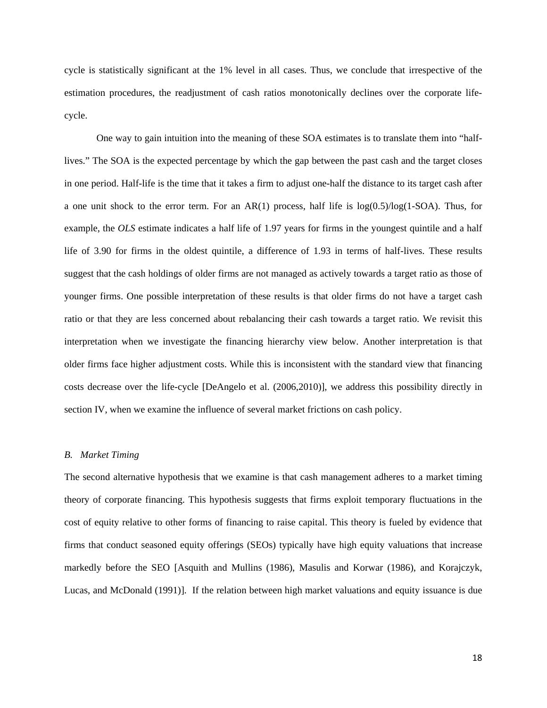cycle is statistically significant at the 1% level in all cases. Thus, we conclude that irrespective of the estimation procedures, the readjustment of cash ratios monotonically declines over the corporate lifecycle.

 One way to gain intuition into the meaning of these SOA estimates is to translate them into "halflives." The SOA is the expected percentage by which the gap between the past cash and the target closes in one period. Half-life is the time that it takes a firm to adjust one-half the distance to its target cash after a one unit shock to the error term. For an AR(1) process, half life is  $log(0.5)/log(1-SOA)$ . Thus, for example, the *OLS* estimate indicates a half life of 1.97 years for firms in the youngest quintile and a half life of 3.90 for firms in the oldest quintile, a difference of 1.93 in terms of half-lives. These results suggest that the cash holdings of older firms are not managed as actively towards a target ratio as those of younger firms. One possible interpretation of these results is that older firms do not have a target cash ratio or that they are less concerned about rebalancing their cash towards a target ratio. We revisit this interpretation when we investigate the financing hierarchy view below. Another interpretation is that older firms face higher adjustment costs. While this is inconsistent with the standard view that financing costs decrease over the life-cycle [DeAngelo et al. (2006,2010)], we address this possibility directly in section IV, when we examine the influence of several market frictions on cash policy.

#### *B. Market Timing*

The second alternative hypothesis that we examine is that cash management adheres to a market timing theory of corporate financing. This hypothesis suggests that firms exploit temporary fluctuations in the cost of equity relative to other forms of financing to raise capital. This theory is fueled by evidence that firms that conduct seasoned equity offerings (SEOs) typically have high equity valuations that increase markedly before the SEO [Asquith and Mullins (1986), Masulis and Korwar (1986), and Korajczyk, Lucas, and McDonald (1991)]. If the relation between high market valuations and equity issuance is due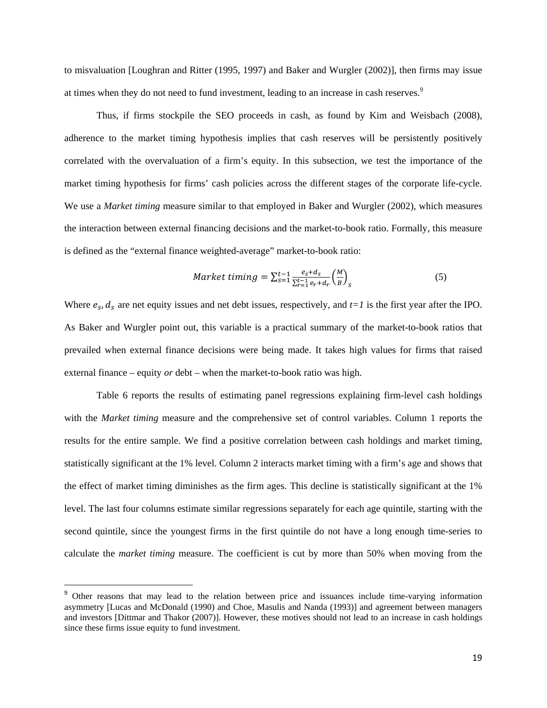to misvaluation [Loughran and Ritter (1995, 1997) and Baker and Wurgler (2002)], then firms may issue at times when they do not need to fund investment, leading to an increase in cash reserves.<sup>9</sup>

 Thus, if firms stockpile the SEO proceeds in cash, as found by Kim and Weisbach (2008), adherence to the market timing hypothesis implies that cash reserves will be persistently positively correlated with the overvaluation of a firm's equity. In this subsection, we test the importance of the market timing hypothesis for firms' cash policies across the different stages of the corporate life-cycle. We use a *Market timing* measure similar to that employed in Baker and Wurgler (2002), which measures the interaction between external financing decisions and the market-to-book ratio. Formally, this measure is defined as the "external finance weighted-average" market-to-book ratio:

$$
Market\ timing = \sum_{s=1}^{t-1} \frac{e_s + d_s}{\sum_{r=1}^{t-1} e_r + d_r} \left(\frac{M}{B}\right)_s \tag{5}
$$

Where  $e_s$ ,  $d_s$  are net equity issues and net debt issues, respectively, and  $t=1$  is the first year after the IPO. As Baker and Wurgler point out, this variable is a practical summary of the market-to-book ratios that prevailed when external finance decisions were being made. It takes high values for firms that raised external finance – equity *or* debt – when the market-to-book ratio was high.

 Table 6 reports the results of estimating panel regressions explaining firm-level cash holdings with the *Market timing* measure and the comprehensive set of control variables. Column 1 reports the results for the entire sample. We find a positive correlation between cash holdings and market timing, statistically significant at the 1% level. Column 2 interacts market timing with a firm's age and shows that the effect of market timing diminishes as the firm ages. This decline is statistically significant at the 1% level. The last four columns estimate similar regressions separately for each age quintile, starting with the second quintile, since the youngest firms in the first quintile do not have a long enough time-series to calculate the *market timing* measure. The coefficient is cut by more than 50% when moving from the

 $\overline{\phantom{a}}$ 

<sup>&</sup>lt;sup>9</sup> Other reasons that may lead to the relation between price and issuances include time-varying information asymmetry [Lucas and McDonald (1990) and Choe, Masulis and Nanda (1993)] and agreement between managers and investors [Dittmar and Thakor (2007)]. However, these motives should not lead to an increase in cash holdings since these firms issue equity to fund investment.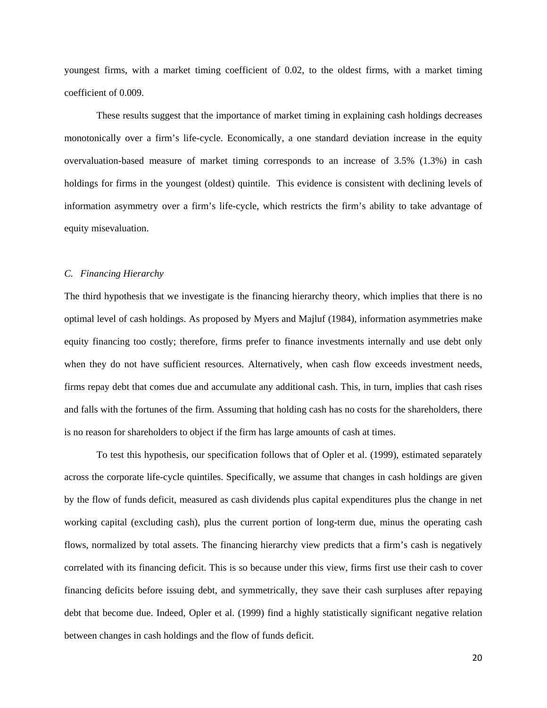youngest firms, with a market timing coefficient of 0.02, to the oldest firms, with a market timing coefficient of 0.009.

 These results suggest that the importance of market timing in explaining cash holdings decreases monotonically over a firm's life-cycle. Economically, a one standard deviation increase in the equity overvaluation-based measure of market timing corresponds to an increase of 3.5% (1.3%) in cash holdings for firms in the youngest (oldest) quintile. This evidence is consistent with declining levels of information asymmetry over a firm's life-cycle, which restricts the firm's ability to take advantage of equity misevaluation.

### *C. Financing Hierarchy*

The third hypothesis that we investigate is the financing hierarchy theory, which implies that there is no optimal level of cash holdings. As proposed by Myers and Majluf (1984), information asymmetries make equity financing too costly; therefore, firms prefer to finance investments internally and use debt only when they do not have sufficient resources. Alternatively, when cash flow exceeds investment needs, firms repay debt that comes due and accumulate any additional cash. This, in turn, implies that cash rises and falls with the fortunes of the firm. Assuming that holding cash has no costs for the shareholders, there is no reason for shareholders to object if the firm has large amounts of cash at times.

 To test this hypothesis, our specification follows that of Opler et al. (1999), estimated separately across the corporate life-cycle quintiles. Specifically, we assume that changes in cash holdings are given by the flow of funds deficit, measured as cash dividends plus capital expenditures plus the change in net working capital (excluding cash), plus the current portion of long-term due, minus the operating cash flows, normalized by total assets. The financing hierarchy view predicts that a firm's cash is negatively correlated with its financing deficit. This is so because under this view, firms first use their cash to cover financing deficits before issuing debt, and symmetrically, they save their cash surpluses after repaying debt that become due. Indeed, Opler et al. (1999) find a highly statistically significant negative relation between changes in cash holdings and the flow of funds deficit.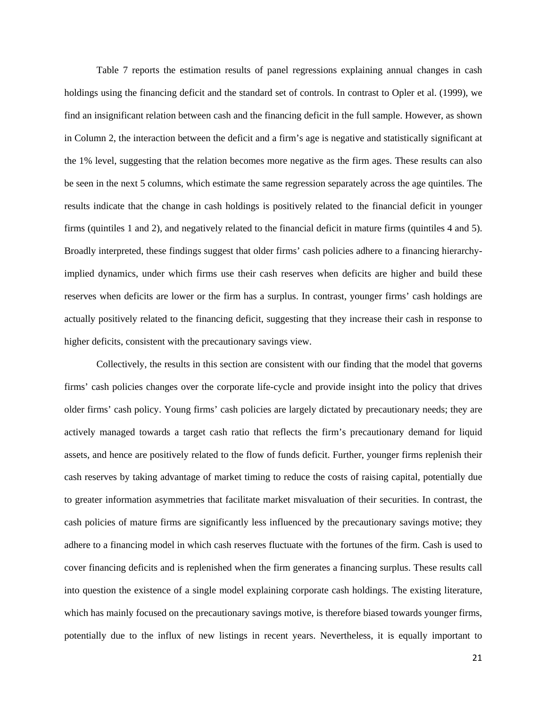Table 7 reports the estimation results of panel regressions explaining annual changes in cash holdings using the financing deficit and the standard set of controls. In contrast to Opler et al. (1999), we find an insignificant relation between cash and the financing deficit in the full sample. However, as shown in Column 2, the interaction between the deficit and a firm's age is negative and statistically significant at the 1% level, suggesting that the relation becomes more negative as the firm ages. These results can also be seen in the next 5 columns, which estimate the same regression separately across the age quintiles. The results indicate that the change in cash holdings is positively related to the financial deficit in younger firms (quintiles 1 and 2), and negatively related to the financial deficit in mature firms (quintiles 4 and 5). Broadly interpreted, these findings suggest that older firms' cash policies adhere to a financing hierarchyimplied dynamics, under which firms use their cash reserves when deficits are higher and build these reserves when deficits are lower or the firm has a surplus. In contrast, younger firms' cash holdings are actually positively related to the financing deficit, suggesting that they increase their cash in response to higher deficits, consistent with the precautionary savings view.

 Collectively, the results in this section are consistent with our finding that the model that governs firms' cash policies changes over the corporate life-cycle and provide insight into the policy that drives older firms' cash policy. Young firms' cash policies are largely dictated by precautionary needs; they are actively managed towards a target cash ratio that reflects the firm's precautionary demand for liquid assets, and hence are positively related to the flow of funds deficit. Further, younger firms replenish their cash reserves by taking advantage of market timing to reduce the costs of raising capital, potentially due to greater information asymmetries that facilitate market misvaluation of their securities. In contrast, the cash policies of mature firms are significantly less influenced by the precautionary savings motive; they adhere to a financing model in which cash reserves fluctuate with the fortunes of the firm. Cash is used to cover financing deficits and is replenished when the firm generates a financing surplus. These results call into question the existence of a single model explaining corporate cash holdings. The existing literature, which has mainly focused on the precautionary savings motive, is therefore biased towards younger firms, potentially due to the influx of new listings in recent years. Nevertheless, it is equally important to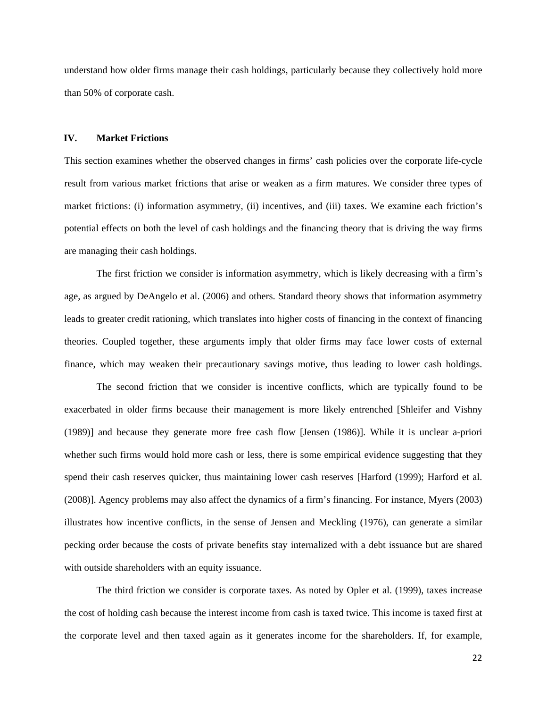understand how older firms manage their cash holdings, particularly because they collectively hold more than 50% of corporate cash.

### **IV. Market Frictions**

This section examines whether the observed changes in firms' cash policies over the corporate life-cycle result from various market frictions that arise or weaken as a firm matures. We consider three types of market frictions: (i) information asymmetry, (ii) incentives, and (iii) taxes. We examine each friction's potential effects on both the level of cash holdings and the financing theory that is driving the way firms are managing their cash holdings.

 The first friction we consider is information asymmetry, which is likely decreasing with a firm's age, as argued by DeAngelo et al. (2006) and others. Standard theory shows that information asymmetry leads to greater credit rationing, which translates into higher costs of financing in the context of financing theories. Coupled together, these arguments imply that older firms may face lower costs of external finance, which may weaken their precautionary savings motive, thus leading to lower cash holdings.

 The second friction that we consider is incentive conflicts, which are typically found to be exacerbated in older firms because their management is more likely entrenched [Shleifer and Vishny (1989)] and because they generate more free cash flow [Jensen (1986)]. While it is unclear a-priori whether such firms would hold more cash or less, there is some empirical evidence suggesting that they spend their cash reserves quicker, thus maintaining lower cash reserves [Harford (1999); Harford et al. (2008)]. Agency problems may also affect the dynamics of a firm's financing. For instance, Myers (2003) illustrates how incentive conflicts, in the sense of Jensen and Meckling (1976), can generate a similar pecking order because the costs of private benefits stay internalized with a debt issuance but are shared with outside shareholders with an equity issuance.

 The third friction we consider is corporate taxes. As noted by Opler et al. (1999), taxes increase the cost of holding cash because the interest income from cash is taxed twice. This income is taxed first at the corporate level and then taxed again as it generates income for the shareholders. If, for example,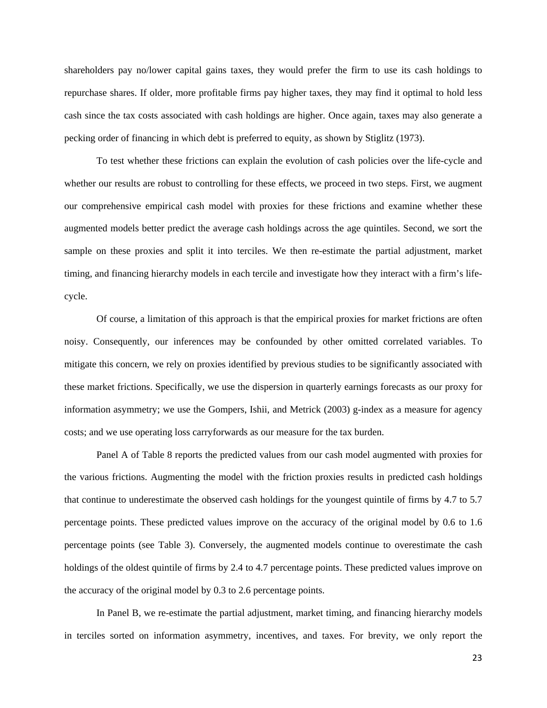shareholders pay no/lower capital gains taxes, they would prefer the firm to use its cash holdings to repurchase shares. If older, more profitable firms pay higher taxes, they may find it optimal to hold less cash since the tax costs associated with cash holdings are higher. Once again, taxes may also generate a pecking order of financing in which debt is preferred to equity, as shown by Stiglitz (1973).

 To test whether these frictions can explain the evolution of cash policies over the life-cycle and whether our results are robust to controlling for these effects, we proceed in two steps. First, we augment our comprehensive empirical cash model with proxies for these frictions and examine whether these augmented models better predict the average cash holdings across the age quintiles. Second, we sort the sample on these proxies and split it into terciles. We then re-estimate the partial adjustment, market timing, and financing hierarchy models in each tercile and investigate how they interact with a firm's lifecycle.

 Of course, a limitation of this approach is that the empirical proxies for market frictions are often noisy. Consequently, our inferences may be confounded by other omitted correlated variables. To mitigate this concern, we rely on proxies identified by previous studies to be significantly associated with these market frictions. Specifically, we use the dispersion in quarterly earnings forecasts as our proxy for information asymmetry; we use the Gompers, Ishii, and Metrick (2003) g-index as a measure for agency costs; and we use operating loss carryforwards as our measure for the tax burden.

 Panel A of Table 8 reports the predicted values from our cash model augmented with proxies for the various frictions. Augmenting the model with the friction proxies results in predicted cash holdings that continue to underestimate the observed cash holdings for the youngest quintile of firms by 4.7 to 5.7 percentage points. These predicted values improve on the accuracy of the original model by 0.6 to 1.6 percentage points (see Table 3). Conversely, the augmented models continue to overestimate the cash holdings of the oldest quintile of firms by 2.4 to 4.7 percentage points. These predicted values improve on the accuracy of the original model by 0.3 to 2.6 percentage points.

 In Panel B, we re-estimate the partial adjustment, market timing, and financing hierarchy models in terciles sorted on information asymmetry, incentives, and taxes. For brevity, we only report the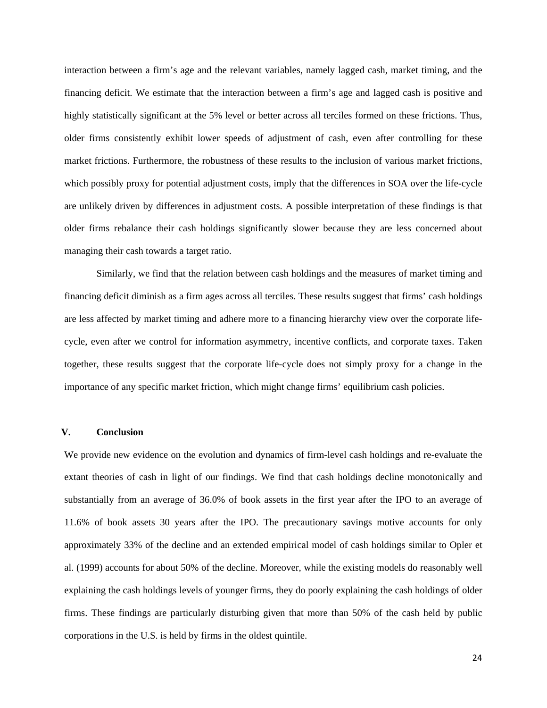interaction between a firm's age and the relevant variables, namely lagged cash, market timing, and the financing deficit. We estimate that the interaction between a firm's age and lagged cash is positive and highly statistically significant at the 5% level or better across all terciles formed on these frictions. Thus, older firms consistently exhibit lower speeds of adjustment of cash, even after controlling for these market frictions. Furthermore, the robustness of these results to the inclusion of various market frictions, which possibly proxy for potential adjustment costs, imply that the differences in SOA over the life-cycle are unlikely driven by differences in adjustment costs. A possible interpretation of these findings is that older firms rebalance their cash holdings significantly slower because they are less concerned about managing their cash towards a target ratio.

 Similarly, we find that the relation between cash holdings and the measures of market timing and financing deficit diminish as a firm ages across all terciles. These results suggest that firms' cash holdings are less affected by market timing and adhere more to a financing hierarchy view over the corporate lifecycle, even after we control for information asymmetry, incentive conflicts, and corporate taxes. Taken together, these results suggest that the corporate life-cycle does not simply proxy for a change in the importance of any specific market friction, which might change firms' equilibrium cash policies.

### **V. Conclusion**

We provide new evidence on the evolution and dynamics of firm-level cash holdings and re-evaluate the extant theories of cash in light of our findings. We find that cash holdings decline monotonically and substantially from an average of 36.0% of book assets in the first year after the IPO to an average of 11.6% of book assets 30 years after the IPO. The precautionary savings motive accounts for only approximately 33% of the decline and an extended empirical model of cash holdings similar to Opler et al. (1999) accounts for about 50% of the decline. Moreover, while the existing models do reasonably well explaining the cash holdings levels of younger firms, they do poorly explaining the cash holdings of older firms. These findings are particularly disturbing given that more than 50% of the cash held by public corporations in the U.S. is held by firms in the oldest quintile.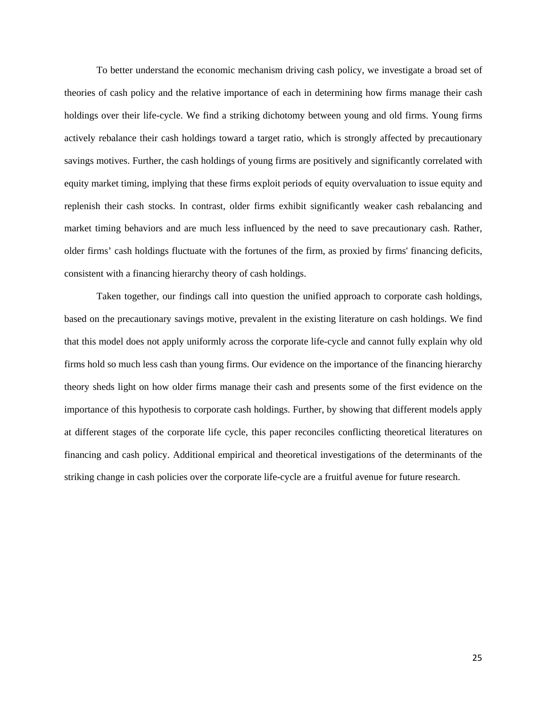To better understand the economic mechanism driving cash policy, we investigate a broad set of theories of cash policy and the relative importance of each in determining how firms manage their cash holdings over their life-cycle. We find a striking dichotomy between young and old firms. Young firms actively rebalance their cash holdings toward a target ratio, which is strongly affected by precautionary savings motives. Further, the cash holdings of young firms are positively and significantly correlated with equity market timing, implying that these firms exploit periods of equity overvaluation to issue equity and replenish their cash stocks. In contrast, older firms exhibit significantly weaker cash rebalancing and market timing behaviors and are much less influenced by the need to save precautionary cash. Rather, older firms' cash holdings fluctuate with the fortunes of the firm, as proxied by firms' financing deficits, consistent with a financing hierarchy theory of cash holdings.

 Taken together, our findings call into question the unified approach to corporate cash holdings, based on the precautionary savings motive, prevalent in the existing literature on cash holdings. We find that this model does not apply uniformly across the corporate life-cycle and cannot fully explain why old firms hold so much less cash than young firms. Our evidence on the importance of the financing hierarchy theory sheds light on how older firms manage their cash and presents some of the first evidence on the importance of this hypothesis to corporate cash holdings. Further, by showing that different models apply at different stages of the corporate life cycle, this paper reconciles conflicting theoretical literatures on financing and cash policy. Additional empirical and theoretical investigations of the determinants of the striking change in cash policies over the corporate life-cycle are a fruitful avenue for future research.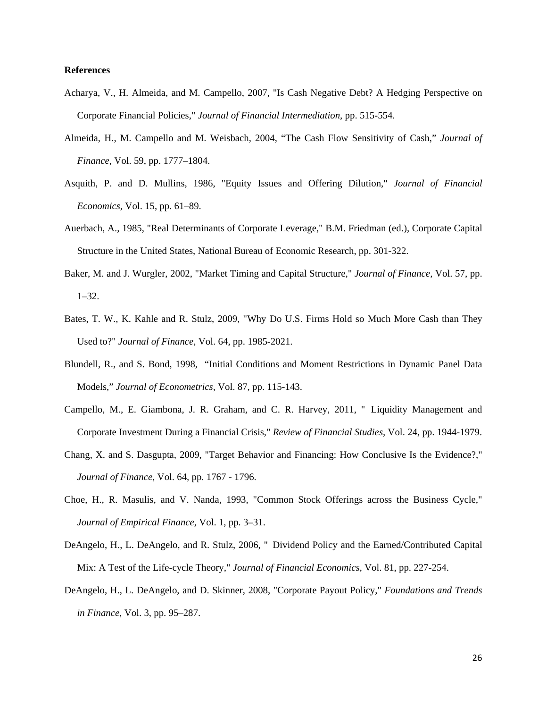### **References**

- Acharya, V., H. Almeida, and M. Campello, 2007, "Is Cash Negative Debt? A Hedging Perspective on Corporate Financial Policies," *Journal of Financial Intermediation*, pp. 515-554.
- Almeida, H., M. Campello and M. Weisbach, 2004, "The Cash Flow Sensitivity of Cash," *Journal of Finance,* Vol. 59, pp. 1777–1804.
- Asquith, P. and D. Mullins, 1986, "Equity Issues and Offering Dilution," *Journal of Financial Economics*, Vol. 15, pp. 61–89.
- Auerbach, A., 1985, "Real Determinants of Corporate Leverage," B.M. Friedman (ed.), Corporate Capital Structure in the United States, National Bureau of Economic Research, pp. 301-322.
- Baker, M. and J. Wurgler, 2002, "Market Timing and Capital Structure," *Journal of Finance,* Vol. 57, pp. 1–32.
- Bates, T. W., K. Kahle and R. Stulz, 2009, "Why Do U.S. Firms Hold so Much More Cash than They Used to?" *Journal of Finance,* Vol. 64, pp. 1985-2021.
- Blundell, R., and S. Bond, 1998, "Initial Conditions and Moment Restrictions in Dynamic Panel Data Models," *Journal of Econometrics,* Vol. 87, pp. 115-143.
- Campello, M., E. Giambona, J. R. Graham, and C. R. Harvey, 2011, " Liquidity Management and Corporate Investment During a Financial Crisis," *Review of Financial Studies,* Vol. 24, pp. 1944-1979.
- Chang, X. and S. Dasgupta, 2009, "Target Behavior and Financing: How Conclusive Is the Evidence?," *Journal of Finance,* Vol. 64*,* pp. 1767 - 1796.
- Choe, H., R. Masulis, and V. Nanda, 1993, "Common Stock Offerings across the Business Cycle," *Journal of Empirical Finance*, Vol. 1, pp. 3–31.
- DeAngelo, H., L. DeAngelo, and R. Stulz, 2006, " Dividend Policy and the Earned/Contributed Capital Mix: A Test of the Life-cycle Theory," *Journal of Financial Economics,* Vol. 81, pp. 227-254.
- DeAngelo, H., L. DeAngelo, and D. Skinner, 2008, "Corporate Payout Policy," *Foundations and Trends in Finance*, Vol. 3, pp. 95–287.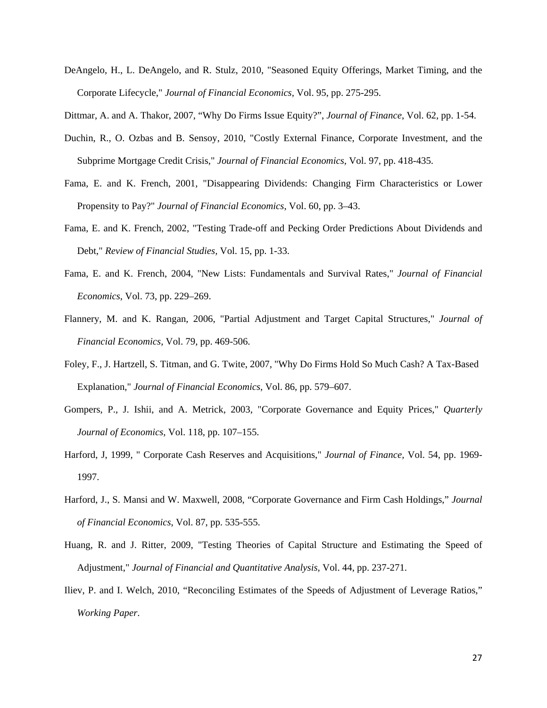DeAngelo, H., L. DeAngelo, and R. Stulz, 2010, "Seasoned Equity Offerings, Market Timing, and the Corporate Lifecycle," *Journal of Financial Economics,* Vol. 95, pp. 275-295.

Dittmar, A. and A. Thakor, 2007, "Why Do Firms Issue Equity?", *Journal of Finance*, Vol. 62, pp. 1-54.

- Duchin, R., O. Ozbas and B. Sensoy, 2010, "Costly External Finance, Corporate Investment, and the Subprime Mortgage Credit Crisis," *Journal of Financial Economics,* Vol. 97, pp. 418-435.
- Fama, E. and K. French, 2001, "Disappearing Dividends: Changing Firm Characteristics or Lower Propensity to Pay?" *Journal of Financial Economics*, Vol. 60, pp. 3–43.
- Fama, E. and K. French, 2002, "Testing Trade-off and Pecking Order Predictions About Dividends and Debt," *Review of Financial Studies,* Vol. 15, pp. 1-33.
- Fama, E. and K. French, 2004, "New Lists: Fundamentals and Survival Rates," *Journal of Financial Economics*, Vol. 73, pp. 229–269.
- Flannery, M. and K. Rangan, 2006, "Partial Adjustment and Target Capital Structures," *Journal of Financial Economics,* Vol. 79, pp. 469-506.
- Foley, F., J. Hartzell, S. Titman, and G. Twite, 2007, "Why Do Firms Hold So Much Cash? A Tax-Based Explanation," *Journal of Financial Economics*, Vol. 86, pp. 579–607.
- Gompers, P., J. Ishii, and A. Metrick, 2003, "Corporate Governance and Equity Prices," *Quarterly Journal of Economics,* Vol. 118, pp. 107–155.
- Harford, J, 1999, " Corporate Cash Reserves and Acquisitions," *Journal of Finance,* Vol. 54, pp. 1969- 1997.
- Harford, J., S. Mansi and W. Maxwell, 2008, "Corporate Governance and Firm Cash Holdings," *Journal of Financial Economics*, Vol. 87, pp. 535-555.
- Huang, R. and J. Ritter, 2009, "Testing Theories of Capital Structure and Estimating the Speed of Adjustment," *Journal of Financial and Quantitative Analysis,* Vol. 44, pp. 237-271.
- Iliev, P. and I. Welch, 2010, "Reconciling Estimates of the Speeds of Adjustment of Leverage Ratios," *Working Paper*.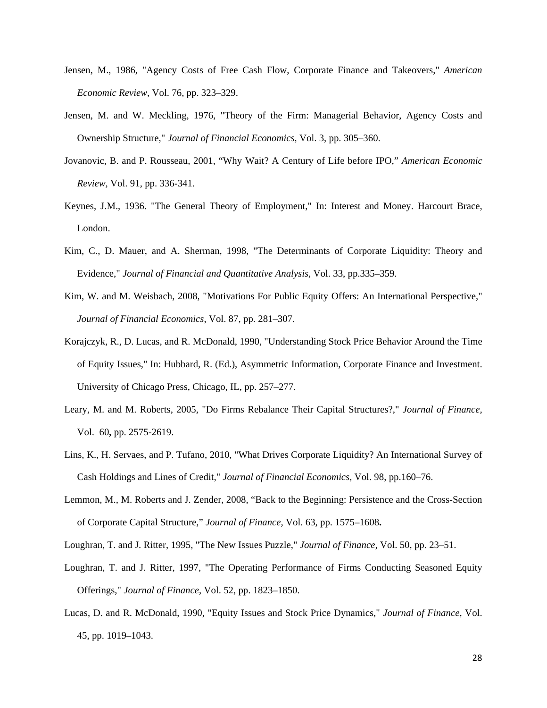- Jensen, M., 1986, "Agency Costs of Free Cash Flow, Corporate Finance and Takeovers," *American Economic Review,* Vol. 76, pp. 323–329.
- Jensen, M. and W. Meckling, 1976, "Theory of the Firm: Managerial Behavior, Agency Costs and Ownership Structure," *Journal of Financial Economics*, Vol. 3, pp. 305–360.
- Jovanovic, B. and P. Rousseau, 2001, "Why Wait? A Century of Life before IPO," *American Economic Review,* Vol. 91, pp. 336-341.
- Keynes, J.M., 1936. "The General Theory of Employment," In: Interest and Money. Harcourt Brace, London.
- Kim, C., D. Mauer, and A. Sherman, 1998, "The Determinants of Corporate Liquidity: Theory and Evidence," *Journal of Financial and Quantitative Analysis,* Vol. 33, pp.335–359.
- Kim, W. and M. Weisbach, 2008, "Motivations For Public Equity Offers: An International Perspective," *Journal of Financial Economics*, Vol. 87, pp. 281–307.
- Korajczyk, R., D. Lucas, and R. McDonald, 1990, "Understanding Stock Price Behavior Around the Time of Equity Issues," In: Hubbard, R. (Ed.), Asymmetric Information, Corporate Finance and Investment. University of Chicago Press, Chicago, IL, pp. 257–277.
- Leary, M. and M. Roberts, 2005, "Do Firms Rebalance Their Capital Structures?," *Journal of Finance,*  Vol. 60**,** pp. 2575-2619.
- Lins, K., H. Servaes, and P. Tufano, 2010, "What Drives Corporate Liquidity? An International Survey of Cash Holdings and Lines of Credit," *Journal of Financial Economics,* Vol. 98, pp.160–76.
- Lemmon, M., M. Roberts and J. Zender, 2008, "Back to the Beginning: Persistence and the Cross-Section of Corporate Capital Structure," *Journal of Finance,* Vol. 63, pp. 1575–1608**.**
- Loughran, T. and J. Ritter, 1995, "The New Issues Puzzle," *Journal of Finance,* Vol. 50, pp. 23–51.
- Loughran, T. and J. Ritter, 1997, "The Operating Performance of Firms Conducting Seasoned Equity Offerings," *Journal of Finance*, Vol. 52, pp. 1823–1850.
- Lucas, D. and R. McDonald, 1990, "Equity Issues and Stock Price Dynamics," *Journal of Finance*, Vol. 45, pp. 1019–1043.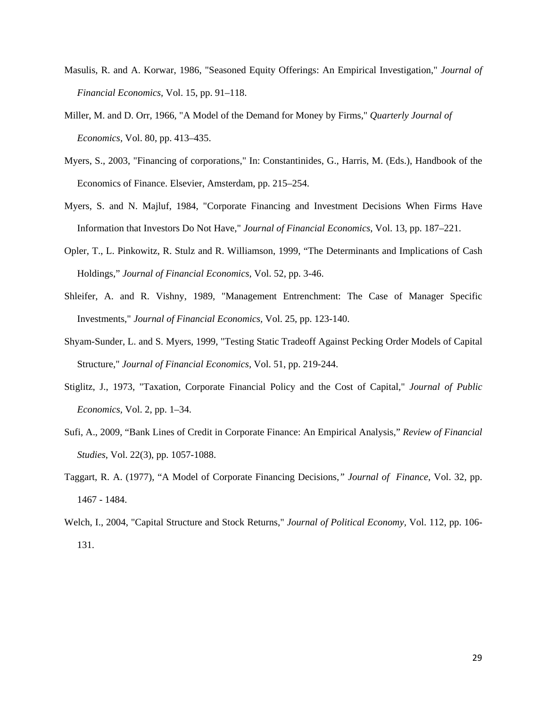- Masulis, R. and A. Korwar, 1986, "Seasoned Equity Offerings: An Empirical Investigation," *Journal of Financial Economics,* Vol. 15, pp. 91–118.
- Miller, M. and D. Orr, 1966, "A Model of the Demand for Money by Firms," *Quarterly Journal of Economics,* Vol. 80, pp. 413–435.
- Myers, S., 2003, "Financing of corporations," In: Constantinides, G., Harris, M. (Eds.), Handbook of the Economics of Finance. Elsevier, Amsterdam, pp. 215–254.
- Myers, S. and N. Majluf, 1984, "Corporate Financing and Investment Decisions When Firms Have Information that Investors Do Not Have," *Journal of Financial Economics*, Vol. 13, pp. 187–221.
- Opler, T., L. Pinkowitz, R. Stulz and R. Williamson, 1999, "The Determinants and Implications of Cash Holdings," *Journal of Financial Economics,* Vol. 52, pp. 3-46.
- Shleifer, A. and R. Vishny, 1989, "Management Entrenchment: The Case of Manager Specific Investments," *Journal of Financial Economics,* Vol. 25, pp. 123-140.
- Shyam-Sunder, L. and S. Myers, 1999, "Testing Static Tradeoff Against Pecking Order Models of Capital Structure," *Journal of Financial Economics,* Vol. 51, pp. 219-244.
- Stiglitz, J., 1973, "Taxation, Corporate Financial Policy and the Cost of Capital," *Journal of Public Economics,* Vol. 2, pp. 1–34.
- Sufi, A., 2009, "Bank Lines of Credit in Corporate Finance: An Empirical Analysis," *Review of Financial Studies*, Vol. 22(3), pp. 1057-1088.
- Taggart, R. A. (1977), "A Model of Corporate Financing Decisions,*" Journal of Finance*, Vol. 32, pp. 1467 - 1484.
- Welch, I., 2004, "Capital Structure and Stock Returns," *Journal of Political Economy,* Vol. 112, pp. 106- 131.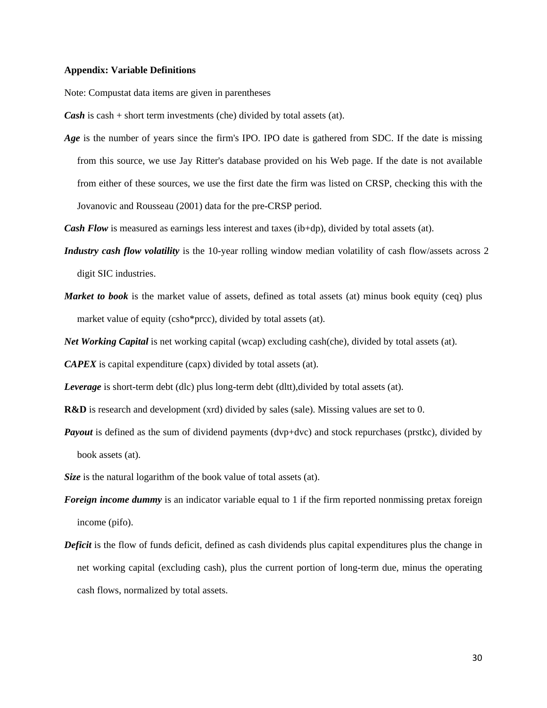### **Appendix: Variable Definitions**

Note: Compustat data items are given in parentheses

*Cash* is cash + short term investments (che) divided by total assets (at).

*Age* is the number of years since the firm's IPO. IPO date is gathered from SDC. If the date is missing from this source, we use Jay Ritter's database provided on his Web page. If the date is not available from either of these sources, we use the first date the firm was listed on CRSP, checking this with the Jovanovic and Rousseau (2001) data for the pre-CRSP period.

*Cash Flow* is measured as earnings less interest and taxes (ib+dp), divided by total assets (at).

- *Industry cash flow volatility* is the 10-year rolling window median volatility of cash flow/assets across 2 digit SIC industries.
- *Market to book* is the market value of assets, defined as total assets (at) minus book equity (ceq) plus market value of equity (csho\*prcc), divided by total assets (at).

*Net Working Capital* is net working capital (wcap) excluding cash(che), divided by total assets (at).

*CAPEX* is capital expenditure (capx) divided by total assets (at).

*Leverage* is short-term debt (dlc) plus long-term debt (dltt), divided by total assets (at).

**R&D** is research and development (xrd) divided by sales (sale). Missing values are set to 0.

*Payout* is defined as the sum of dividend payments (dvp+dvc) and stock repurchases (prstkc), divided by book assets (at).

*Size* is the natural logarithm of the book value of total assets (at).

- *Foreign income dummy* is an indicator variable equal to 1 if the firm reported nonmissing pretax foreign income (pifo).
- *Deficit* is the flow of funds deficit, defined as cash dividends plus capital expenditures plus the change in net working capital (excluding cash), plus the current portion of long-term due, minus the operating cash flows, normalized by total assets.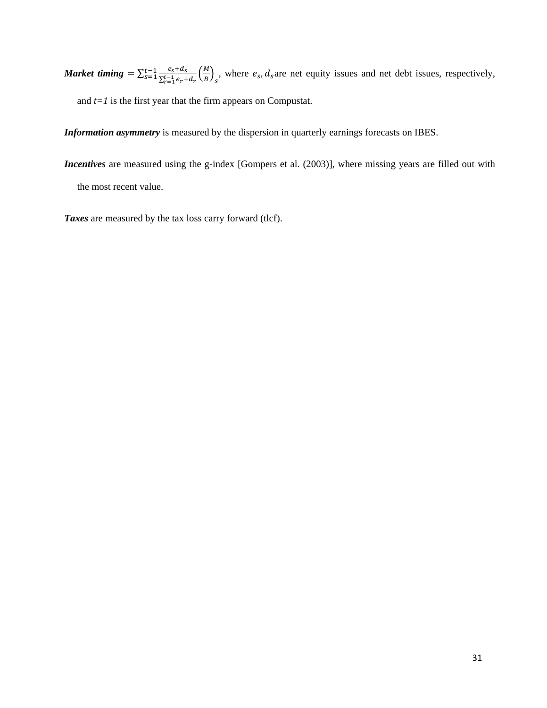*Market timing* =  $\sum_{s=1}^{t-1} \frac{e_s + d_s}{\sum_{r=1}^{t-1} e_r + d_r} \left(\frac{M}{B}\right)_s$  $\frac{t-1}{s=1} \frac{e_s + a_s}{s^2 + a_{s-1}} \left(\frac{M}{B}\right)$ , where  $e_s$ ,  $d_s$  are net equity issues and net debt issues, respectively, and *t=1* is the first year that the firm appears on Compustat.

*Information asymmetry* is measured by the dispersion in quarterly earnings forecasts on IBES.

*Incentives* are measured using the g-index [Gompers et al. (2003)], where missing years are filled out with the most recent value.

*Taxes* are measured by the tax loss carry forward (tlcf).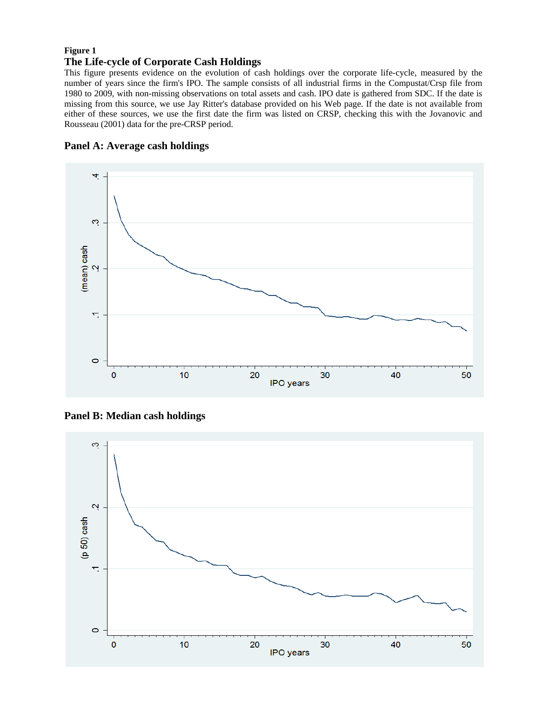# **Figure 1 The Life-cycle of Corporate Cash Holdings**

This figure presents evidence on the evolution of cash holdings over the corporate life-cycle, measured by the number of years since the firm's IPO. The sample consists of all industrial firms in the Compustat/Crsp file from 1980 to 2009, with non-missing observations on total assets and cash. IPO date is gathered from SDC. If the date is missing from this source, we use Jay Ritter's database provided on his Web page. If the date is not available from either of these sources, we use the first date the firm was listed on CRSP, checking this with the Jovanovic and Rousseau (2001) data for the pre-CRSP period.





**Panel B: Median cash holdings** 

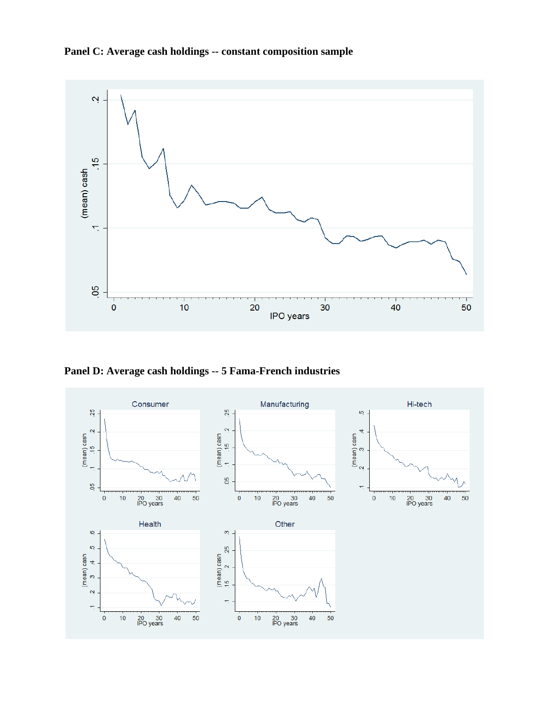



**Panel D: Average cash holdings -- 5 Fama-French industries** 

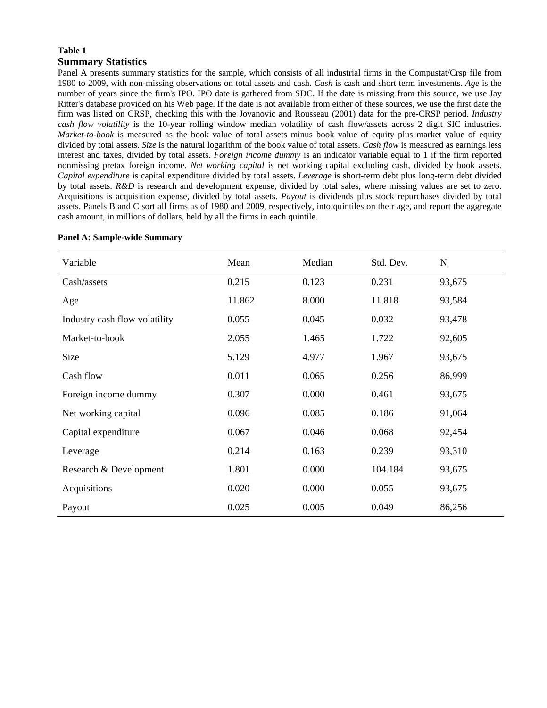# **Table 1 Summary Statistics**

Panel A presents summary statistics for the sample, which consists of all industrial firms in the Compustat/Crsp file from 1980 to 2009, with non-missing observations on total assets and cash. *Cash* is cash and short term investments. *Age* is the number of years since the firm's IPO. IPO date is gathered from SDC. If the date is missing from this source, we use Jay Ritter's database provided on his Web page. If the date is not available from either of these sources, we use the first date the firm was listed on CRSP, checking this with the Jovanovic and Rousseau (2001) data for the pre-CRSP period. *Industry cash flow volatility* is the 10-year rolling window median volatility of cash flow/assets across 2 digit SIC industries. *Market-to-book* is measured as the book value of total assets minus book value of equity plus market value of equity divided by total assets. *Size* is the natural logarithm of the book value of total assets. *Cash flow* is measured as earnings less interest and taxes, divided by total assets. *Foreign income dummy* is an indicator variable equal to 1 if the firm reported nonmissing pretax foreign income. *Net working capital* is net working capital excluding cash, divided by book assets. *Capital expenditure* is capital expenditure divided by total assets. *Leverage* is short-term debt plus long-term debt divided by total assets. *R&D* is research and development expense, divided by total sales, where missing values are set to zero. Acquisitions is acquisition expense, divided by total assets. *Payout* is dividends plus stock repurchases divided by total assets. Panels B and C sort all firms as of 1980 and 2009, respectively, into quintiles on their age, and report the aggregate cash amount, in millions of dollars, held by all the firms in each quintile.

| Variable                      | Mean   | Median | Std. Dev. | $\mathbf N$ |
|-------------------------------|--------|--------|-----------|-------------|
| Cash/assets                   | 0.215  | 0.123  | 0.231     | 93,675      |
| Age                           | 11.862 | 8.000  | 11.818    | 93,584      |
| Industry cash flow volatility | 0.055  | 0.045  | 0.032     | 93,478      |
| Market-to-book                | 2.055  | 1.465  | 1.722     | 92,605      |
| Size                          | 5.129  | 4.977  | 1.967     | 93,675      |
| Cash flow                     | 0.011  | 0.065  | 0.256     | 86,999      |
| Foreign income dummy          | 0.307  | 0.000  | 0.461     | 93,675      |
| Net working capital           | 0.096  | 0.085  | 0.186     | 91,064      |
| Capital expenditure           | 0.067  | 0.046  | 0.068     | 92,454      |
| Leverage                      | 0.214  | 0.163  | 0.239     | 93,310      |
| Research & Development        | 1.801  | 0.000  | 104.184   | 93,675      |
| Acquisitions                  | 0.020  | 0.000  | 0.055     | 93,675      |
| Payout                        | 0.025  | 0.005  | 0.049     | 86,256      |

#### **Panel A: Sample-wide Summary**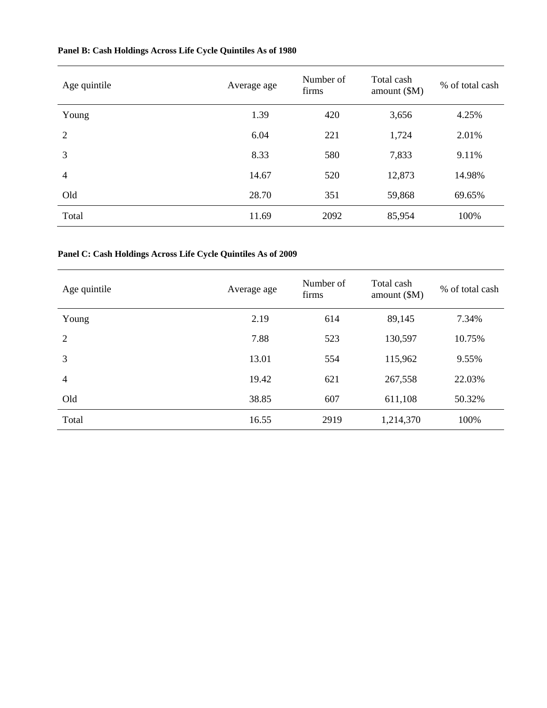| Age quintile   | Average age | Number of<br>firms | Total cash<br>amount $(\$M)$ | % of total cash |
|----------------|-------------|--------------------|------------------------------|-----------------|
| Young          | 1.39        | 420                | 3,656                        | 4.25%           |
| $\overline{2}$ | 6.04        | 221                | 1,724                        | 2.01%           |
| 3              | 8.33        | 580                | 7,833                        | 9.11%           |
| $\overline{4}$ | 14.67       | 520                | 12,873                       | 14.98%          |
| Old            | 28.70       | 351                | 59,868                       | 69.65%          |
| Total          | 11.69       | 2092               | 85,954                       | 100%            |

# **Panel B: Cash Holdings Across Life Cycle Quintiles As of 1980**

# **Panel C: Cash Holdings Across Life Cycle Quintiles As of 2009**

| Age quintile   | Average age | Number of<br>firms | Total cash<br>amount $(SM)$ | % of total cash |
|----------------|-------------|--------------------|-----------------------------|-----------------|
| Young          | 2.19        | 614                | 89,145                      | 7.34%           |
| $\overline{2}$ | 7.88        | 523                | 130,597                     | 10.75%          |
| 3              | 13.01       | 554                | 115,962                     | 9.55%           |
| 4              | 19.42       | 621                | 267,558                     | 22.03%          |
| Old            | 38.85       | 607                | 611,108                     | 50.32%          |
| Total          | 16.55       | 2919               | 1,214,370                   | 100%            |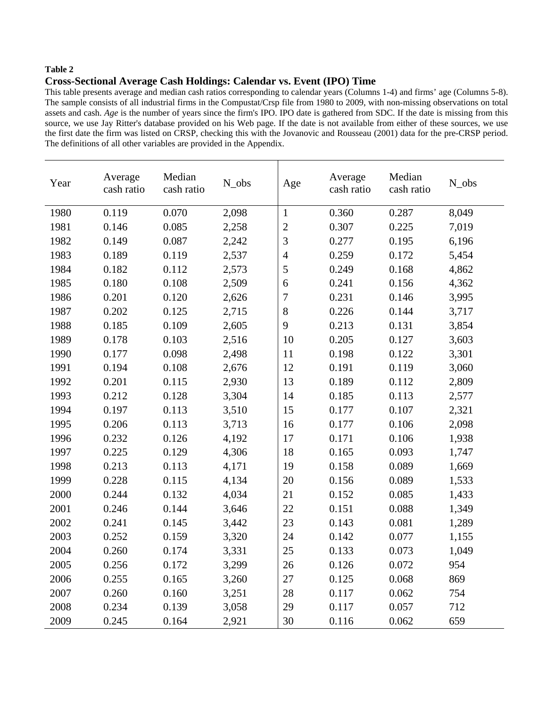# **Table 2**

# **Cross-Sectional Average Cash Holdings: Calendar vs. Event (IPO) Time**

This table presents average and median cash ratios corresponding to calendar years (Columns 1-4) and firms' age (Columns 5-8). The sample consists of all industrial firms in the Compustat/Crsp file from 1980 to 2009, with non-missing observations on total assets and cash. *Age* is the number of years since the firm's IPO. IPO date is gathered from SDC. If the date is missing from this source, we use Jay Ritter's database provided on his Web page. If the date is not available from either of these sources, we use the first date the firm was listed on CRSP, checking this with the Jovanovic and Rousseau (2001) data for the pre-CRSP period. The definitions of all other variables are provided in the Appendix.

| Year | Average<br>cash ratio | Median<br>cash ratio | N_obs | Age            | Average<br>cash ratio | Median<br>cash ratio | N_obs |
|------|-----------------------|----------------------|-------|----------------|-----------------------|----------------------|-------|
| 1980 | 0.119                 | 0.070                | 2,098 | $\mathbf{1}$   | 0.360                 | 0.287                | 8,049 |
| 1981 | 0.146                 | 0.085                | 2,258 | $\overline{2}$ | 0.307                 | 0.225                | 7,019 |
| 1982 | 0.149                 | 0.087                | 2,242 | 3              | 0.277                 | 0.195                | 6,196 |
| 1983 | 0.189                 | 0.119                | 2,537 | $\overline{4}$ | 0.259                 | 0.172                | 5,454 |
| 1984 | 0.182                 | 0.112                | 2,573 | 5              | 0.249                 | 0.168                | 4,862 |
| 1985 | 0.180                 | 0.108                | 2,509 | 6              | 0.241                 | 0.156                | 4,362 |
| 1986 | 0.201                 | 0.120                | 2,626 | $\overline{7}$ | 0.231                 | 0.146                | 3,995 |
| 1987 | 0.202                 | 0.125                | 2,715 | 8              | 0.226                 | 0.144                | 3,717 |
| 1988 | 0.185                 | 0.109                | 2,605 | 9              | 0.213                 | 0.131                | 3,854 |
| 1989 | 0.178                 | 0.103                | 2,516 | 10             | 0.205                 | 0.127                | 3,603 |
| 1990 | 0.177                 | 0.098                | 2,498 | 11             | 0.198                 | 0.122                | 3,301 |
| 1991 | 0.194                 | 0.108                | 2,676 | 12             | 0.191                 | 0.119                | 3,060 |
| 1992 | 0.201                 | 0.115                | 2,930 | 13             | 0.189                 | 0.112                | 2,809 |
| 1993 | 0.212                 | 0.128                | 3,304 | 14             | 0.185                 | 0.113                | 2,577 |
| 1994 | 0.197                 | 0.113                | 3,510 | 15             | 0.177                 | 0.107                | 2,321 |
| 1995 | 0.206                 | 0.113                | 3,713 | 16             | 0.177                 | 0.106                | 2,098 |
| 1996 | 0.232                 | 0.126                | 4,192 | 17             | 0.171                 | 0.106                | 1,938 |
| 1997 | 0.225                 | 0.129                | 4,306 | 18             | 0.165                 | 0.093                | 1,747 |
| 1998 | 0.213                 | 0.113                | 4,171 | 19             | 0.158                 | 0.089                | 1,669 |
| 1999 | 0.228                 | 0.115                | 4,134 | 20             | 0.156                 | 0.089                | 1,533 |
| 2000 | 0.244                 | 0.132                | 4,034 | 21             | 0.152                 | 0.085                | 1,433 |
| 2001 | 0.246                 | 0.144                | 3,646 | 22             | 0.151                 | 0.088                | 1,349 |
| 2002 | 0.241                 | 0.145                | 3,442 | 23             | 0.143                 | 0.081                | 1,289 |
| 2003 | 0.252                 | 0.159                | 3,320 | 24             | 0.142                 | 0.077                | 1,155 |
| 2004 | 0.260                 | 0.174                | 3,331 | 25             | 0.133                 | 0.073                | 1,049 |
| 2005 | 0.256                 | 0.172                | 3,299 | 26             | 0.126                 | 0.072                | 954   |
| 2006 | 0.255                 | 0.165                | 3,260 | 27             | 0.125                 | 0.068                | 869   |
| 2007 | 0.260                 | 0.160                | 3,251 | 28             | 0.117                 | 0.062                | 754   |
| 2008 | 0.234                 | 0.139                | 3,058 | 29             | 0.117                 | 0.057                | 712   |
| 2009 | 0.245                 | 0.164                | 2,921 | 30             | 0.116                 | 0.062                | 659   |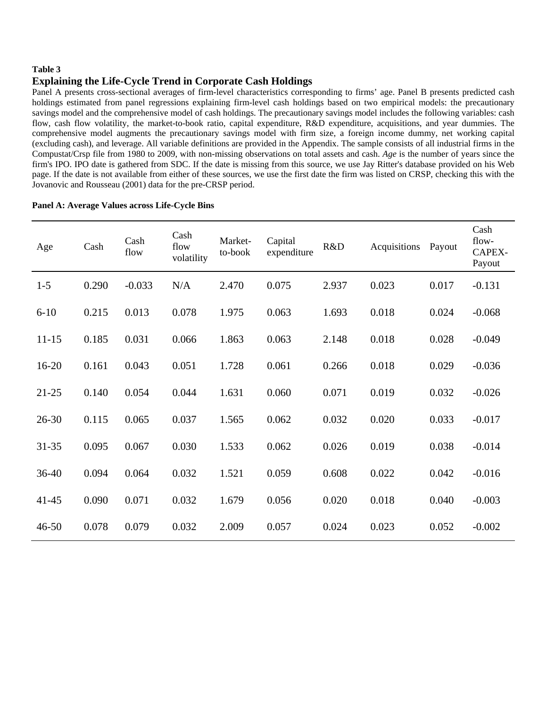# **Table 3**

# **Explaining the Life-Cycle Trend in Corporate Cash Holdings**

Panel A presents cross-sectional averages of firm-level characteristics corresponding to firms' age. Panel B presents predicted cash holdings estimated from panel regressions explaining firm-level cash holdings based on two empirical models: the precautionary savings model and the comprehensive model of cash holdings. The precautionary savings model includes the following variables: cash flow, cash flow volatility, the market-to-book ratio, capital expenditure, R&D expenditure, acquisitions, and year dummies. The comprehensive model augments the precautionary savings model with firm size, a foreign income dummy, net working capital (excluding cash), and leverage. All variable definitions are provided in the Appendix. The sample consists of all industrial firms in the Compustat/Crsp file from 1980 to 2009, with non-missing observations on total assets and cash. *Age* is the number of years since the firm's IPO. IPO date is gathered from SDC. If the date is missing from this source, we use Jay Ritter's database provided on his Web page. If the date is not available from either of these sources, we use the first date the firm was listed on CRSP, checking this with the Jovanovic and Rousseau (2001) data for the pre-CRSP period.

| Age       | Cash  | Cash<br>flow | Cash<br>flow<br>volatility | Market-<br>to-book | Capital<br>expenditure | R&D   | Acquisitions | Payout | Cash<br>flow-<br>CAPEX-<br>Payout |
|-----------|-------|--------------|----------------------------|--------------------|------------------------|-------|--------------|--------|-----------------------------------|
| $1 - 5$   | 0.290 | $-0.033$     | N/A                        | 2.470              | 0.075                  | 2.937 | 0.023        | 0.017  | $-0.131$                          |
| $6 - 10$  | 0.215 | 0.013        | 0.078                      | 1.975              | 0.063                  | 1.693 | 0.018        | 0.024  | $-0.068$                          |
| $11 - 15$ | 0.185 | 0.031        | 0.066                      | 1.863              | 0.063                  | 2.148 | 0.018        | 0.028  | $-0.049$                          |
| $16 - 20$ | 0.161 | 0.043        | 0.051                      | 1.728              | 0.061                  | 0.266 | 0.018        | 0.029  | $-0.036$                          |
| $21 - 25$ | 0.140 | 0.054        | 0.044                      | 1.631              | 0.060                  | 0.071 | 0.019        | 0.032  | $-0.026$                          |
| $26 - 30$ | 0.115 | 0.065        | 0.037                      | 1.565              | 0.062                  | 0.032 | 0.020        | 0.033  | $-0.017$                          |
| $31 - 35$ | 0.095 | 0.067        | 0.030                      | 1.533              | 0.062                  | 0.026 | 0.019        | 0.038  | $-0.014$                          |
| $36 - 40$ | 0.094 | 0.064        | 0.032                      | 1.521              | 0.059                  | 0.608 | 0.022        | 0.042  | $-0.016$                          |
| $41 - 45$ | 0.090 | 0.071        | 0.032                      | 1.679              | 0.056                  | 0.020 | 0.018        | 0.040  | $-0.003$                          |
| $46 - 50$ | 0.078 | 0.079        | 0.032                      | 2.009              | 0.057                  | 0.024 | 0.023        | 0.052  | $-0.002$                          |

### **Panel A: Average Values across Life-Cycle Bins**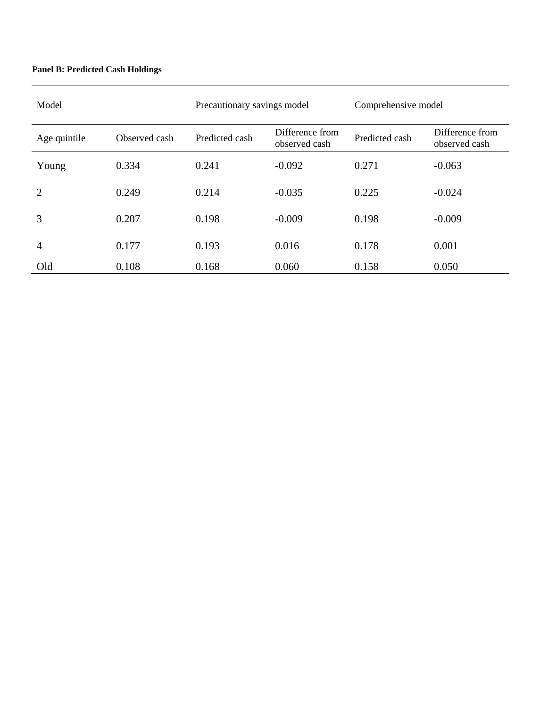# **Panel B: Predicted Cash Holdings**

| Model          |               | Precautionary savings model |                                  | Comprehensive model |                                  |  |
|----------------|---------------|-----------------------------|----------------------------------|---------------------|----------------------------------|--|
| Age quintile   | Observed cash | Predicted cash              | Difference from<br>observed cash | Predicted cash      | Difference from<br>observed cash |  |
| Young          | 0.334         | 0.241                       | $-0.092$                         | 0.271               | $-0.063$                         |  |
| 2              | 0.249         | 0.214                       | $-0.035$                         | 0.225               | $-0.024$                         |  |
| 3              | 0.207         | 0.198                       | $-0.009$                         | 0.198               | $-0.009$                         |  |
| $\overline{4}$ | 0.177         | 0.193                       | 0.016                            | 0.178               | 0.001                            |  |
| Old            | 0.108         | 0.168                       | 0.060                            | 0.158               | 0.050                            |  |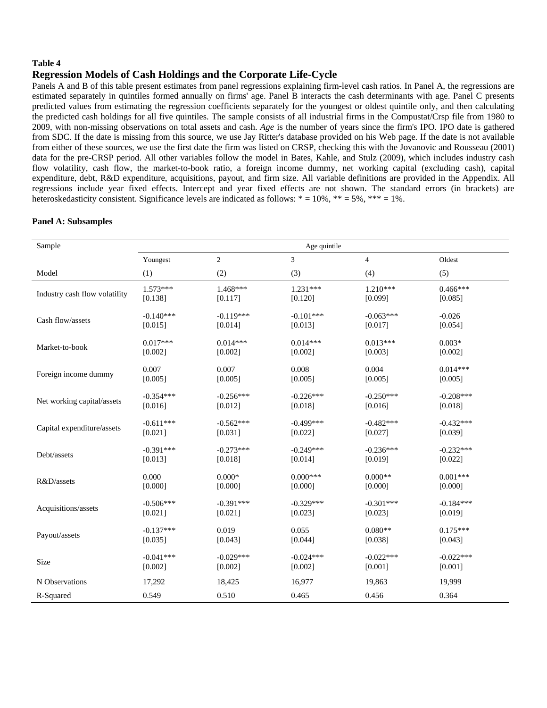### **Table 4**

# **Regression Models of Cash Holdings and the Corporate Life-Cycle**

Panels A and B of this table present estimates from panel regressions explaining firm-level cash ratios. In Panel A, the regressions are estimated separately in quintiles formed annually on firms' age. Panel B interacts the cash determinants with age. Panel C presents predicted values from estimating the regression coefficients separately for the youngest or oldest quintile only, and then calculating the predicted cash holdings for all five quintiles. The sample consists of all industrial firms in the Compustat/Crsp file from 1980 to 2009, with non-missing observations on total assets and cash. *Age* is the number of years since the firm's IPO. IPO date is gathered from SDC. If the date is missing from this source, we use Jay Ritter's database provided on his Web page. If the date is not available from either of these sources, we use the first date the firm was listed on CRSP, checking this with the Jovanovic and Rousseau (2001) data for the pre-CRSP period. All other variables follow the model in Bates, Kahle, and Stulz (2009), which includes industry cash flow volatility, cash flow, the market-to-book ratio, a foreign income dummy, net working capital (excluding cash), capital expenditure, debt, R&D expenditure, acquisitions, payout, and firm size. All variable definitions are provided in the Appendix. All regressions include year fixed effects. Intercept and year fixed effects are not shown. The standard errors (in brackets) are heteroskedasticity consistent. Significance levels are indicated as follows: \* = 10%, \*\* = 5%, \*\*\* = 1%.

### **Panel A: Subsamples**

| Sample                        |             |                | Age quintile  |                |             |
|-------------------------------|-------------|----------------|---------------|----------------|-------------|
|                               | Youngest    | $\overline{c}$ | $\mathfrak 3$ | $\overline{4}$ | Oldest      |
| Model                         | (1)         | (2)            | (3)           | (4)            | (5)         |
| Industry cash flow volatility | $1.573***$  | $1.468***$     | $1.231***$    | $1.210***$     | $0.466***$  |
|                               | [0.138]     | [0.117]        | [0.120]       | [0.099]        | [0.085]     |
| Cash flow/assets              | $-0.140***$ | $-0.119***$    | $-0.101***$   | $-0.063***$    | $-0.026$    |
|                               | [0.015]     | [0.014]        | [0.013]       | [0.017]        | [0.054]     |
| Market-to-book                | $0.017***$  | $0.014***$     | $0.014***$    | $0.013***$     | $0.003*$    |
|                               | [0.002]     | [0.002]        | [0.002]       | [0.003]        | [0.002]     |
| Foreign income dummy          | 0.007       | 0.007          | 0.008         | 0.004          | $0.014***$  |
|                               | [0.005]     | [0.005]        | [0.005]       | [0.005]        | [0.005]     |
| Net working capital/assets    | $-0.354***$ | $-0.256***$    | $-0.226***$   | $-0.250***$    | $-0.208***$ |
|                               | [0.016]     | [0.012]        | [0.018]       | [0.016]        | [0.018]     |
| Capital expenditure/assets    | $-0.611***$ | $-0.562***$    | $-0.499***$   | $-0.482***$    | $-0.432***$ |
|                               | [0.021]     | [0.031]        | [0.022]       | [0.027]        | [0.039]     |
| Debt/assets                   | $-0.391***$ | $-0.273***$    | $-0.249***$   | $-0.236***$    | $-0.232***$ |
|                               | [0.013]     | [0.018]        | [0.014]       | [0.019]        | [0.022]     |
| R&D/assets                    | 0.000       | $0.000*$       | $0.000***$    | $0.000**$      | $0.001***$  |
|                               | [0.000]     | [0.000]        | [0.000]       | [0.000]        | [0.000]     |
| Acquisitions/assets           | $-0.506***$ | $-0.391***$    | $-0.329***$   | $-0.301***$    | $-0.184***$ |
|                               | [0.021]     | [0.021]        | [0.023]       | [0.023]        | [0.019]     |
| Payout/assets                 | $-0.137***$ | 0.019          | 0.055         | $0.080**$      | $0.175***$  |
|                               | [0.035]     | [0.043]        | [0.044]       | [0.038]        | [0.043]     |
| Size                          | $-0.041***$ | $-0.029***$    | $-0.024***$   | $-0.022***$    | $-0.022***$ |
|                               | [0.002]     | [0.002]        | [0.002]       | [0.001]        | [0.001]     |
| N Observations                | 17,292      | 18,425         | 16,977        | 19,863         | 19,999      |
| R-Squared                     | 0.549       | 0.510          | 0.465         | 0.456          | 0.364       |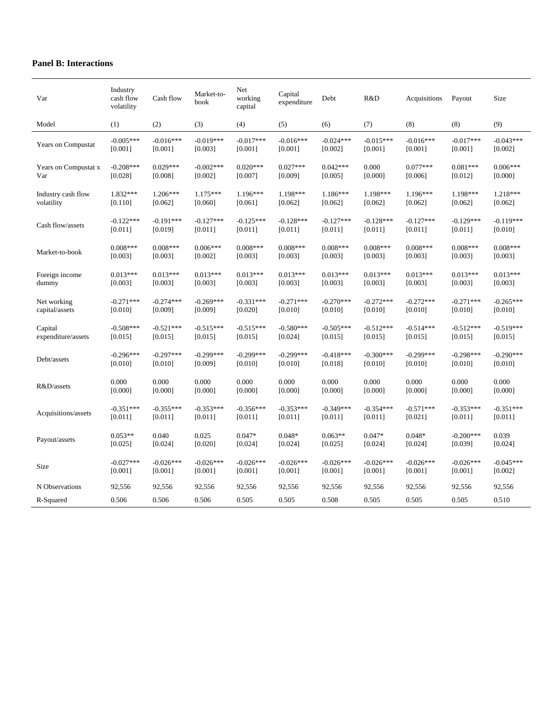# **Panel B: Interactions**

| Var                  | Industry<br>cash flow<br>volatility | Cash flow   | Market-to-<br>book | Net<br>working<br>capital | Capital<br>expenditure | Debt        | R&D         | Acquisitions | Payout      | Size        |
|----------------------|-------------------------------------|-------------|--------------------|---------------------------|------------------------|-------------|-------------|--------------|-------------|-------------|
| Model                | (1)                                 | (2)         | (3)                | (4)                       | (5)                    | (6)         | (7)         | (8)          | (8)         | (9)         |
| Years on Compustat   | $-0.005***$                         | $-0.016***$ | $-0.019***$        | $-0.017***$               | $-0.016***$            | $-0.024***$ | $-0.015***$ | $-0.016***$  | $-0.017***$ | $-0.043***$ |
|                      | [0.001]                             | [0.001]     | [0.003]            | [0.001]                   | $[0.001]$              | $[0.002]$   | [0.001]     | [0.001]      | [0.001]     | [0.002]     |
| Years on Compustat x | $-0.208***$                         | $0.029***$  | $-0.002***$        | $0.020***$                | $0.027***$             | $0.042***$  | 0.000       | $0.077***$   | $0.081***$  | $0.006***$  |
| Var                  | [0.028]                             | [0.008]     | [0.002]            | [0.007]                   | [0.009]                | $[0.005]$   | [0.000]     | [0.006]      | [0.012]     | [0.000]     |
| Industry cash flow   | 1.832***                            | $1.206***$  | 1.175***           | 1.196***                  | 1.198***               | 1.186***    | 1.198***    | 1.196***     | 1.198***    | 1.218***    |
| volatility           | [0.110]                             | [0.062]     | [0.060]            | [0.061]                   | [0.062]                | $[0.062]$   | [0.062]     | [0.062]      | [0.062]     | [0.062]     |
| Cash flow/assets     | $-0.122***$                         | $-0.191***$ | $-0.127***$        | $-0.125***$               | $-0.128***$            | $-0.127***$ | $-0.128***$ | $-0.127***$  | $-0.129***$ | $-0.119***$ |
|                      | [0.011]                             | [0.019]     | [0.011]            | [0.011]                   | $[0.011]$              | $[0.011]$   | $[0.011]$   | [0.011]      | $[0.011]$   | [0.010]     |
| Market-to-book       | $0.008***$                          | $0.008***$  | $0.006***$         | $0.008***$                | $0.008***$             | $0.008***$  | $0.008***$  | $0.008***$   | $0.008***$  | $0.008***$  |
|                      | [0.003]                             | [0.003]     | [0.002]            | [0.003]                   | [0.003]                | [0.003]     | [0.003]     | [0.003]      | [0.003]     | [0.003]     |
| Foreign income       | $0.013***$                          | $0.013***$  | $0.013***$         | $0.013***$                | $0.013***$             | $0.013***$  | $0.013***$  | $0.013***$   | $0.013***$  | $0.013***$  |
| dummy                | [0.003]                             | [0.003]     | [0.003]            | [0.003]                   | [0.003]                | [0.003]     | [0.003]     | [0.003]      | [0.003]     | [0.003]     |
| Net working          | $-0.271***$                         | $-0.274***$ | $-0.269***$        | $-0.331***$               | $-0.271***$            | $-0.270***$ | $-0.272***$ | $-0.272***$  | $-0.271***$ | $-0.265***$ |
| capital/assets       | $[0.010]$                           | [0.009]     | [0.009]            | [0.020]                   | $[0.010]$              | $[0.010]$   | [0.010]     | [0.010]      | $[0.010]$   | [0.010]     |
| Capital              | $-0.508***$                         | $-0.521***$ | $-0.515***$        | $-0.515***$               | $-0.580***$            | $-0.505***$ | $-0.512***$ | $-0.514***$  | $-0.512***$ | $-0.519***$ |
| expenditure/assets   | [0.015]                             | [0.015]     | [0.015]            | [0.015]                   | [0.024]                | $[0.015]$   | [0.015]     | [0.015]      | $[0.015]$   | [0.015]     |
| Debt/assets          | $-0.296***$                         | $-0.297***$ | $-0.299***$        | $-0.299***$               | $-0.299***$            | $-0.418***$ | $-0.300***$ | $-0.299***$  | $-0.298***$ | $-0.290***$ |
|                      | [0.010]                             | [0.010]     | [0.009]            | [0.010]                   | $[0.010]$              | $[0.018]$   | [0.010]     | [0.010]      | [0.010]     | [0.010]     |
| R&D/assets           | 0.000                               | 0.000       | 0.000              | 0.000                     | 0.000                  | 0.000       | 0.000       | 0.000        | 0.000       | 0.000       |
|                      | [0.000]                             | [0.000]     | [0.000]            | [0.000]                   | [0.000]                | $[0.000]$   | [0.000]     | [0.000]      | [0.000]     | [0.000]     |
| Acquisitions/assets  | $-0.351***$                         | $-0.355***$ | $-0.353***$        | $-0.356***$               | $-0.353***$            | $-0.349***$ | $-0.354***$ | $-0.571***$  | $-0.353***$ | $-0.351***$ |
|                      | [0.011]                             | [0.011]     | [0.011]            | [0.011]                   | $[0.011]$              | $[0.011]$   | [0.011]     | [0.021]      | $[0.011]$   | [0.011]     |
| Payout/assets        | $0.053**$                           | 0.040       | 0.025              | $0.047*$                  | $0.048*$               | $0.063**$   | $0.047*$    | $0.048*$     | $-0.200***$ | 0.039       |
|                      | [0.025]                             | [0.024]     | [0.020]            | [0.024]                   | [0.024]                | [0.025]     | [0.024]     | [0.024]      | [0.039]     | [0.024]     |
| Size                 | $-0.027***$                         | $-0.026***$ | $-0.026***$        | $-0.026***$               | $-0.026***$            | $-0.026***$ | $-0.026***$ | $-0.026***$  | $-0.026***$ | $-0.045***$ |
|                      | [0.001]                             | [0.001]     | [0.001]            | [0.001]                   | [0.001]                | [0.001]     | [0.001]     | [0.001]      | [0.001]     | [0.002]     |
| N Observations       | 92,556                              | 92,556      | 92,556             | 92,556                    | 92,556                 | 92,556      | 92,556      | 92,556       | 92,556      | 92,556      |
| R-Squared            | 0.506                               | 0.506       | 0.506              | 0.505                     | 0.505                  | 0.508       | 0.505       | 0.505        | 0.505       | 0.510       |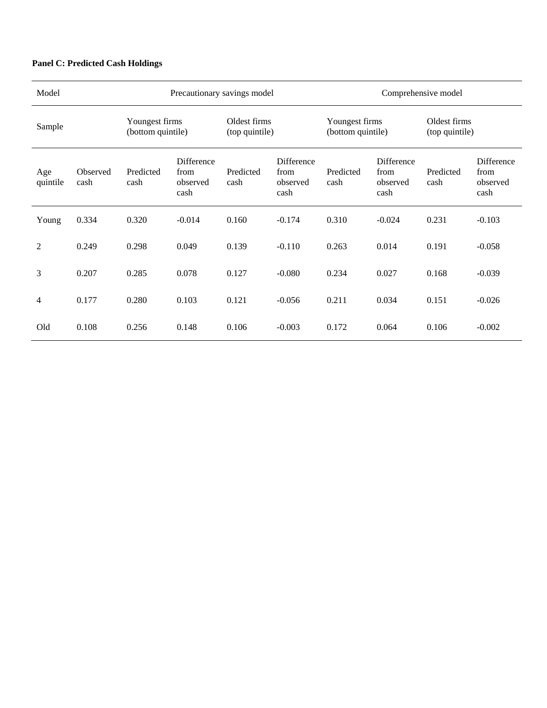# **Panel C: Predicted Cash Holdings**

| Model                                         |                  | Precautionary savings model<br>Comprehensive model |                                        |                   |                                        |                   |                                        |                   |                                        |
|-----------------------------------------------|------------------|----------------------------------------------------|----------------------------------------|-------------------|----------------------------------------|-------------------|----------------------------------------|-------------------|----------------------------------------|
| Youngest firms<br>Sample<br>(bottom quintile) |                  |                                                    | Oldest firms<br>(top quintile)         |                   | Youngest firms<br>(bottom quintile)    |                   | Oldest firms<br>(top quintile)         |                   |                                        |
| Age<br>quintile                               | Observed<br>cash | Predicted<br>cash                                  | Difference<br>from<br>observed<br>cash | Predicted<br>cash | Difference<br>from<br>observed<br>cash | Predicted<br>cash | Difference<br>from<br>observed<br>cash | Predicted<br>cash | Difference<br>from<br>observed<br>cash |
| Young                                         | 0.334            | 0.320                                              | $-0.014$                               | 0.160             | $-0.174$                               | 0.310             | $-0.024$                               | 0.231             | $-0.103$                               |
| 2                                             | 0.249            | 0.298                                              | 0.049                                  | 0.139             | $-0.110$                               | 0.263             | 0.014                                  | 0.191             | $-0.058$                               |
| 3                                             | 0.207            | 0.285                                              | 0.078                                  | 0.127             | $-0.080$                               | 0.234             | 0.027                                  | 0.168             | $-0.039$                               |
| 4                                             | 0.177            | 0.280                                              | 0.103                                  | 0.121             | $-0.056$                               | 0.211             | 0.034                                  | 0.151             | $-0.026$                               |
| Old                                           | 0.108            | 0.256                                              | 0.148                                  | 0.106             | $-0.003$                               | 0.172             | 0.064                                  | 0.106             | $-0.002$                               |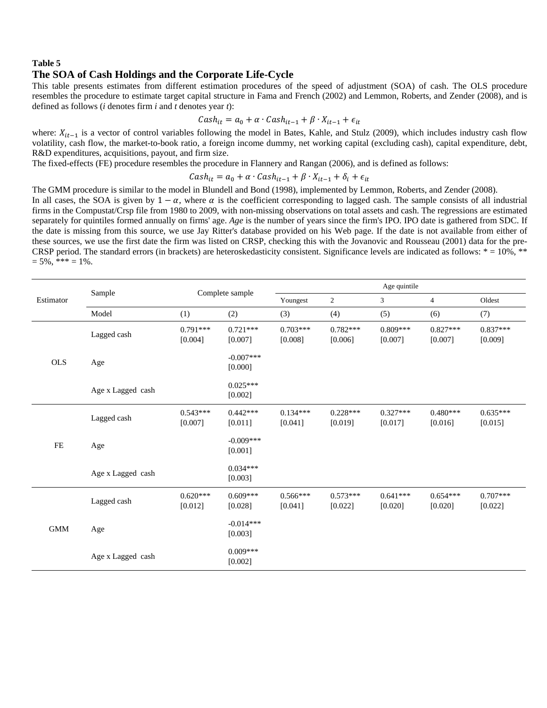### **Table 5**

### **The SOA of Cash Holdings and the Corporate Life-Cycle**

This table presents estimates from different estimation procedures of the speed of adjustment (SOA) of cash. The OLS procedure resembles the procedure to estimate target capital structure in Fama and French (2002) and Lemmon, Roberts, and Zender (2008), and is defined as follows (*i* denotes firm *i* and *t* denotes year *t*):

$$
Cash_{it} = a_0 + \alpha \cdot Cash_{it-1} + \beta \cdot X_{it-1} + \epsilon_{it}
$$

where:  $X_{it-1}$  is a vector of control variables following the model in Bates, Kahle, and Stulz (2009), which includes industry cash flow volatility, cash flow, the market-to-book ratio, a foreign income dummy, net working capital (excluding cash), capital expenditure, debt, R&D expenditures, acquisitions, payout, and firm size.

The fixed-effects (FE) procedure resembles the procedure in Flannery and Rangan (2006), and is defined as follows:

 $Cash_{it} = a_0 + \alpha \cdot Cash_{it-1} + \beta \cdot X_{it-1} + \delta_i + \epsilon_{it}$ 

The GMM procedure is similar to the model in Blundell and Bond (1998), implemented by Lemmon, Roberts, and Zender (2008).

In all cases, the SOA is given by  $1-\alpha$ , where  $\alpha$  is the coefficient corresponding to lagged cash. The sample consists of all industrial firms in the Compustat/Crsp file from 1980 to 2009, with non-missing observations on total assets and cash. The regressions are estimated separately for quintiles formed annually on firms' age. *Age* is the number of years since the firm's IPO. IPO date is gathered from SDC. If the date is missing from this source, we use Jay Ritter's database provided on his Web page. If the date is not available from either of these sources, we use the first date the firm was listed on CRSP, checking this with the Jovanovic and Rousseau (2001) data for the pre-CRSP period. The standard errors (in brackets) are heteroskedasticity consistent. Significance levels are indicated as follows:  $* = 10\%$ ,  $*^*$  $= 5\%,$  \*\*\*  $= 1\%$ .

|            | Sample            |                       | Complete sample        |                       | Age quintile          |                       |                       |                       |  |  |
|------------|-------------------|-----------------------|------------------------|-----------------------|-----------------------|-----------------------|-----------------------|-----------------------|--|--|
| Estimator  |                   |                       |                        | Youngest              | $\overline{2}$        | 3                     | $\overline{4}$        | Oldest                |  |  |
|            | Model             | (1)                   | (2)                    | (3)                   | (4)                   | (5)                   | (6)                   | (7)                   |  |  |
|            | Lagged cash       | $0.791***$<br>[0.004] | $0.721***$<br>[0.007]  | $0.703***$<br>[0.008] | $0.782***$<br>[0.006] | $0.809***$<br>[0.007] | $0.827***$<br>[0.007] | $0.837***$<br>[0.009] |  |  |
| <b>OLS</b> | Age               |                       | $-0.007***$<br>[0.000] |                       |                       |                       |                       |                       |  |  |
|            | Age x Lagged cash |                       | $0.025***$<br>[0.002]  |                       |                       |                       |                       |                       |  |  |
|            | Lagged cash       | $0.543***$<br>[0.007] | $0.442***$<br>[0.011]  | $0.134***$<br>[0.041] | $0.228***$<br>[0.019] | $0.327***$<br>[0.017] | $0.480***$<br>[0.016] | $0.635***$<br>[0.015] |  |  |
| FE         | Age               |                       | $-0.009***$<br>[0.001] |                       |                       |                       |                       |                       |  |  |
|            | Age x Lagged cash |                       | $0.034***$<br>[0.003]  |                       |                       |                       |                       |                       |  |  |
|            | Lagged cash       | $0.620***$<br>[0.012] | $0.609***$<br>[0.028]  | $0.566***$<br>[0.041] | $0.573***$<br>[0.022] | $0.641***$<br>[0.020] | $0.654***$<br>[0.020] | $0.707***$<br>[0.022] |  |  |
| <b>GMM</b> | Age               |                       | $-0.014***$<br>[0.003] |                       |                       |                       |                       |                       |  |  |
|            | Age x Lagged cash |                       | $0.009***$<br>[0.002]  |                       |                       |                       |                       |                       |  |  |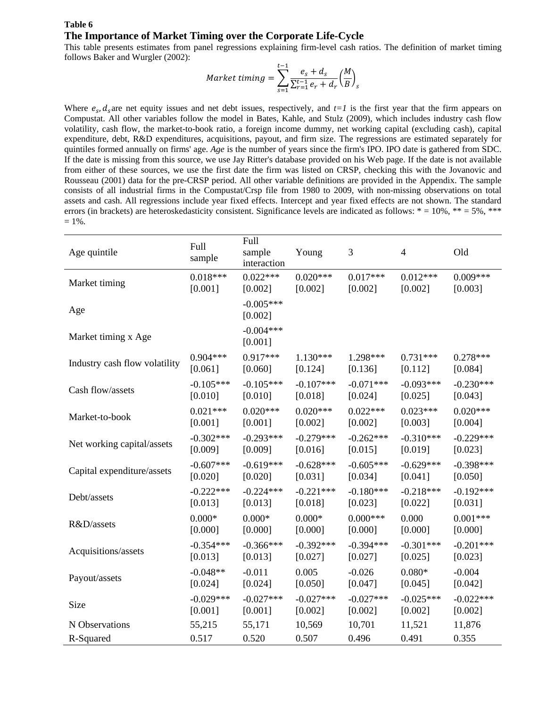# **Table 6 The Importance of Market Timing over the Corporate Life-Cycle**

This table presents estimates from panel regressions explaining firm-level cash ratios. The definition of market timing follows Baker and Wurgler (2002):

$$
Market\ timing = \sum_{s=1}^{t-1} \frac{e_s + d_s}{\sum_{r=1}^{t-1} e_r + d_r} \left(\frac{M}{B}\right)_s
$$

Where  $e_s$ ,  $d_s$  are net equity issues and net debt issues, respectively, and  $t=1$  is the first year that the firm appears on Compustat. All other variables follow the model in Bates, Kahle, and Stulz (2009), which includes industry cash flow volatility, cash flow, the market-to-book ratio, a foreign income dummy, net working capital (excluding cash), capital expenditure, debt, R&D expenditures, acquisitions, payout, and firm size. The regressions are estimated separately for quintiles formed annually on firms' age. *Age* is the number of years since the firm's IPO. IPO date is gathered from SDC. If the date is missing from this source, we use Jay Ritter's database provided on his Web page. If the date is not available from either of these sources, we use the first date the firm was listed on CRSP, checking this with the Jovanovic and Rousseau (2001) data for the pre-CRSP period. All other variable definitions are provided in the Appendix. The sample consists of all industrial firms in the Compustat/Crsp file from 1980 to 2009, with non-missing observations on total assets and cash. All regressions include year fixed effects. Intercept and year fixed effects are not shown. The standard errors (in brackets) are heteroskedasticity consistent. Significance levels are indicated as follows:  $* = 10\%$ ,  $** = 5\%$ ,  $** *$  $= 1\%$ .

| Age quintile                  | Full<br>sample | Full<br>sample<br>interaction | Young       | 3           | 4           | Old         |
|-------------------------------|----------------|-------------------------------|-------------|-------------|-------------|-------------|
| Market timing                 | $0.018***$     | $0.022***$                    | $0.020***$  | $0.017***$  | $0.012***$  | $0.009***$  |
|                               | [0.001]        | [0.002]                       | [0.002]     | [0.002]     | [0.002]     | [0.003]     |
| Age                           |                | $-0.005***$<br>[0.002]        |             |             |             |             |
| Market timing x Age           |                | $-0.004***$<br>[0.001]        |             |             |             |             |
| Industry cash flow volatility | $0.904***$     | $0.917***$                    | $1.130***$  | 1.298***    | $0.731***$  | $0.278***$  |
|                               | [0.061]        | [0.060]                       | [0.124]     | [0.136]     | [0.112]     | [0.084]     |
| Cash flow/assets              | $-0.105***$    | $-0.105***$                   | $-0.107***$ | $-0.071***$ | $-0.093***$ | $-0.230***$ |
|                               | [0.010]        | [0.010]                       | [0.018]     | [0.024]     | [0.025]     | [0.043]     |
| Market-to-book                | $0.021***$     | $0.020***$                    | $0.020***$  | $0.022***$  | $0.023***$  | $0.020***$  |
|                               | [0.001]        | [0.001]                       | [0.002]     | [0.002]     | [0.003]     | [0.004]     |
| Net working capital/assets    | $-0.302***$    | $-0.293***$                   | $-0.279***$ | $-0.262***$ | $-0.310***$ | $-0.229***$ |
|                               | [0.009]        | [0.009]                       | [0.016]     | [0.015]     | [0.019]     | [0.023]     |
| Capital expenditure/assets    | $-0.607***$    | $-0.619***$                   | $-0.628***$ | $-0.605***$ | $-0.629***$ | $-0.398***$ |
|                               | [0.020]        | [0.020]                       | [0.031]     | [0.034]     | [0.041]     | [0.050]     |
| Debt/assets                   | $-0.222***$    | $-0.224***$                   | $-0.221***$ | $-0.180***$ | $-0.218***$ | $-0.192***$ |
|                               | [0.013]        | [0.013]                       | [0.018]     | [0.023]     | [0.022]     | [0.031]     |
| R&D/assets                    | $0.000*$       | $0.000*$                      | $0.000*$    | $0.000***$  | 0.000       | $0.001***$  |
|                               | [0.000]        | [0.000]                       | [0.000]     | [0.000]     | [0.000]     | [0.000]     |
| Acquisitions/assets           | $-0.354***$    | $-0.366***$                   | $-0.392***$ | $-0.394***$ | $-0.301***$ | $-0.201***$ |
|                               | [0.013]        | [0.013]                       | [0.027]     | [0.027]     | [0.025]     | [0.023]     |
| Payout/assets                 | $-0.048**$     | $-0.011$                      | 0.005       | $-0.026$    | $0.080*$    | $-0.004$    |
|                               | [0.024]        | [0.024]                       | [0.050]     | [0.047]     | [0.045]     | [0.042]     |
| Size                          | $-0.029***$    | $-0.027***$                   | $-0.027***$ | $-0.027***$ | $-0.025***$ | $-0.022***$ |
|                               | [0.001]        | [0.001]                       | [0.002]     | [0.002]     | [0.002]     | [0.002]     |
| N Observations                | 55,215         | 55,171                        | 10,569      | 10,701      | 11,521      | 11,876      |
| R-Squared                     | 0.517          | 0.520                         | 0.507       | 0.496       | 0.491       | 0.355       |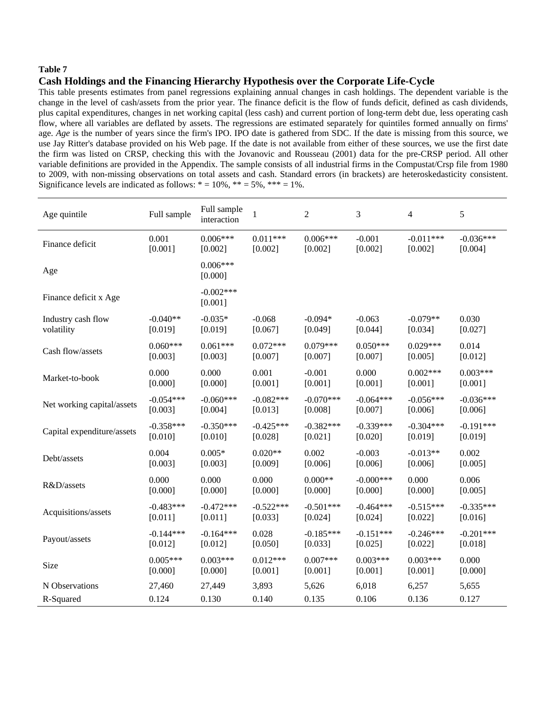### **Table 7**

# **Cash Holdings and the Financing Hierarchy Hypothesis over the Corporate Life-Cycle**

This table presents estimates from panel regressions explaining annual changes in cash holdings. The dependent variable is the change in the level of cash/assets from the prior year. The finance deficit is the flow of funds deficit, defined as cash dividends, plus capital expenditures, changes in net working capital (less cash) and current portion of long-term debt due, less operating cash flow, where all variables are deflated by assets. The regressions are estimated separately for quintiles formed annually on firms' age. *Age* is the number of years since the firm's IPO. IPO date is gathered from SDC. If the date is missing from this source, we use Jay Ritter's database provided on his Web page. If the date is not available from either of these sources, we use the first date the firm was listed on CRSP, checking this with the Jovanovic and Rousseau (2001) data for the pre-CRSP period. All other variable definitions are provided in the Appendix. The sample consists of all industrial firms in the Compustat/Crsp file from 1980 to 2009, with non-missing observations on total assets and cash. Standard errors (in brackets) are heteroskedasticity consistent. Significance levels are indicated as follows:  $* = 10\%$ ,  $** = 5\%$ ,  $*** = 1\%$ .

| Age quintile               | Full sample | Full sample<br>interaction | $\mathbf{1}$ | $\overline{2}$ | 3            | 4           | 5           |
|----------------------------|-------------|----------------------------|--------------|----------------|--------------|-------------|-------------|
| Finance deficit            | 0.001       | $0.006***$                 | $0.011***$   | $0.006***$     | $-0.001$     | $-0.011***$ | $-0.036***$ |
|                            | [0.001]     | [0.002]                    | [0.002]      | [0.002]        | [0.002]      | [0.002]     | [0.004]     |
| Age                        |             | $0.006***$<br>[0.000]      |              |                |              |             |             |
| Finance deficit x Age      |             | $-0.002***$<br>[0.001]     |              |                |              |             |             |
| Industry cash flow         | $-0.040**$  | $-0.035*$                  | $-0.068$     | $-0.094*$      | $-0.063$     | $-0.079**$  | 0.030       |
| volatility                 | [0.019]     | [0.019]                    | [0.067]      | [0.049]        | [0.044]      | [0.034]     | [0.027]     |
| Cash flow/assets           | $0.060***$  | $0.061***$                 | $0.072***$   | $0.079***$     | $0.050***$   | $0.029***$  | 0.014       |
|                            | [0.003]     | [0.003]                    | [0.007]      | [0.007]        | [0.007]      | [0.005]     | [0.012]     |
| Market-to-book             | 0.000       | 0.000                      | 0.001        | $-0.001$       | 0.000        | $0.002***$  | $0.003***$  |
|                            | [0.000]     | [0.000]                    | [0.001]      | [0.001]        | [0.001]      | [0.001]     | [0.001]     |
| Net working capital/assets | $-0.054***$ | $-0.060***$                | $-0.082***$  | $-0.070***$    | $-0.064***$  | $-0.056***$ | $-0.036***$ |
|                            | [0.003]     | [0.004]                    | [0.013]      | [0.008]        | [0.007]      | [0.006]     | [0.006]     |
| Capital expenditure/assets | $-0.358***$ | $-0.350***$                | $-0.425***$  | $-0.382***$    | $-0.339***$  | $-0.304***$ | $-0.191***$ |
|                            | [0.010]     | [0.010]                    | [0.028]      | [0.021]        | [0.020]      | [0.019]     | [0.019]     |
| Debt/assets                | 0.004       | $0.005*$                   | $0.020**$    | 0.002          | $-0.003$     | $-0.013**$  | 0.002       |
|                            | [0.003]     | [0.003]                    | [0.009]      | [0.006]        | [0.006]      | [0.006]     | [0.005]     |
| R&D/assets                 | 0.000       | 0.000                      | 0.000        | $0.000**$      | $-0.000$ *** | 0.000       | 0.006       |
|                            | [0.000]     | [0.000]                    | [0.000]      | [0.000]        | [0.000]      | [0.000]     | [0.005]     |
| Acquisitions/assets        | $-0.483***$ | $-0.472***$                | $-0.522***$  | $-0.501***$    | $-0.464***$  | $-0.515***$ | $-0.335***$ |
|                            | [0.011]     | [0.011]                    | [0.033]      | [0.024]        | [0.024]      | [0.022]     | [0.016]     |
| Payout/assets              | $-0.144***$ | $-0.164***$                | 0.028        | $-0.185***$    | $-0.151***$  | $-0.246***$ | $-0.201***$ |
|                            | [0.012]     | [0.012]                    | [0.050]      | [0.033]        | [0.025]      | [0.022]     | [0.018]     |
| Size                       | $0.005***$  | $0.003***$                 | $0.012***$   | $0.007***$     | $0.003***$   | $0.003***$  | 0.000       |
|                            | [0.000]     | [0.000]                    | [0.001]      | [0.001]        | [0.001]      | [0.001]     | [0.000]     |
| N Observations             | 27,460      | 27,449                     | 3,893        | 5,626          | 6,018        | 6,257       | 5,655       |
| R-Squared                  | 0.124       | 0.130                      | 0.140        | 0.135          | 0.106        | 0.136       | 0.127       |
|                            |             |                            |              |                |              |             |             |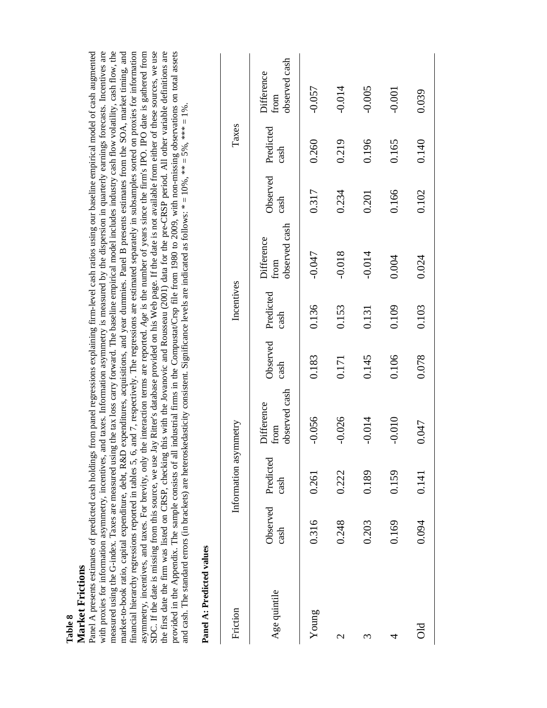|                    | ms<br>3<br>╒ |
|--------------------|--------------|
| $\propto$<br>Table | Ľ            |

Panel A presents estimates of predicted cash holdings from panel regressions explaining firm-level cash ratios using our baseline empirical model of cash augmented with proxies for information asymmetry, incentives, and taxes. Information asymmetry is measured by the dispersion in quarterly earnings forecasts. Incentives are measured using the G-index. Taxes are measured using the tax loss carry forward. The baseline empirical model includes industry cash flow volatility, cash flow, the market-to-book ratio, capital expenditure, debt, R&D expenditures, acquisitions, and year dummies. Panel B presents estimates from the SOA, market timing, and market-to-book ratio, capital expenditure, debt, R&D expenditures, acquisitions, and year dummies. Panel B presents estimates from the SOA, market timing, and financial hierarchy regressions reported in tables 5, 6, and 7, respectively. The regressions are estimated separately in subsamples sorted on proxies for information asymmetry, incentives, and taxes. For brevity, only the interaction terms are reported. Age is the number of years since the firm's IPO. IPO date is gathered from asymmetry, incentives, and taxes. For brevity, only the interaction terms are reported. *Age* is the number of years since the firm's IPO. IPO date is gathered from SDC. If the date is missing from this source, we use Jay Ritter's database provided on his Web page. If the date is not available from either of these sources, we use SDC. If the date is missing from this source, we use Jay Ritter's database provided on his Web page. If the date is not available from either of these sources, we use the first date the firm was listed on CRSP, checking this with the Jovanovic and Rousseau (2001) data for the pre-CRSP period. All other variable definitions are provided in the Appendix. The sample consists of all industrial firms in the Compustat/Crsp file from 1980 to 2009, with non-missing observations on total assets provided in the Appendix. The sample consists of all industrial firms in the Compustat/Crsp file from 1980 to 2009, with non-missing observations on total assets Panel A presents estimates of predicted cash holdings from panel regressions explaining firm-level cash ratios using our baseline empirical model of cash augmented with proxies for information asymmetry, incentives, and taxes. Information asymmetry is measured by the dispersion in quarterly earnings forecasts. Incentives are measured using the G-index. Taxes are measured using the tax loss carry forward. The baseline empirical model includes industry cash flow volatility, cash flow, the financial hierarchy regressions reported in tables 5, 6, and 7, respectively. The regressions are estimated separately in subsamples sorted on proxies for information the first date the firm was listed on CRSP, checking this with the Jovanovic and Rousseau (2001) data for the pre-CRSP period. All other variable definitions are and cash. The standard errors (in brackets) are heteroskedasticity consistent. Significance levels are indicated as follows: \* = 10%, \*\* = 5%, \*\*\* = 1%. and cash. The standard errors (in brackets) are heteroskedasticity consistent. Significance levels are indicated as follows:  $* = 10\%$ ,  $** = 5\%$ ,  $** = 1\%$ 

| Friction                 |                            | Information asymmetry |                                     |                  | Incentives        |                                     |                  | Taxes             |                                     |
|--------------------------|----------------------------|-----------------------|-------------------------------------|------------------|-------------------|-------------------------------------|------------------|-------------------|-------------------------------------|
| Age quintile             | Observed Predicted<br>cash | cash                  | observed cash<br>Difference<br>from | Observed<br>cash | Predicted<br>cash | observed cash<br>Difference<br>from | Observed<br>cash | Predicted<br>cash | observed cash<br>Difference<br>from |
| Young                    | 0.316                      | 0.261                 | $-0.056$                            | 0.183            | 0.136             | $-0.047$                            | 0.317            | 0.260             | $-0.057$                            |
| $\overline{\mathcal{C}}$ | 0.248                      | 0.222                 | $-0.026$                            | 0.171            | 0.153             | $-0.018$                            | 0.234            | 0.219             | $-0.014$                            |
| ω                        | 0.203                      | 0.189                 | $-0.014$                            | 0.145            | 0.131             | $-0.014$                            | 0.201            | 0.196             | $-0.005$                            |
| 4                        | 0.169                      | 0.159                 | $-0.010$                            | 0.106            | 0.109             | 0.004                               | 0.166            | 0.165             | $-0.001$                            |
| blQ                      | 0.094                      | 0.141                 | 0.047                               | 0.078            | 0.103             | 0.024                               | 0.102            | 0.140             | 0.039                               |

| $\ddot{\phantom{0}}$ |  |
|----------------------|--|
|                      |  |
|                      |  |
| ď                    |  |